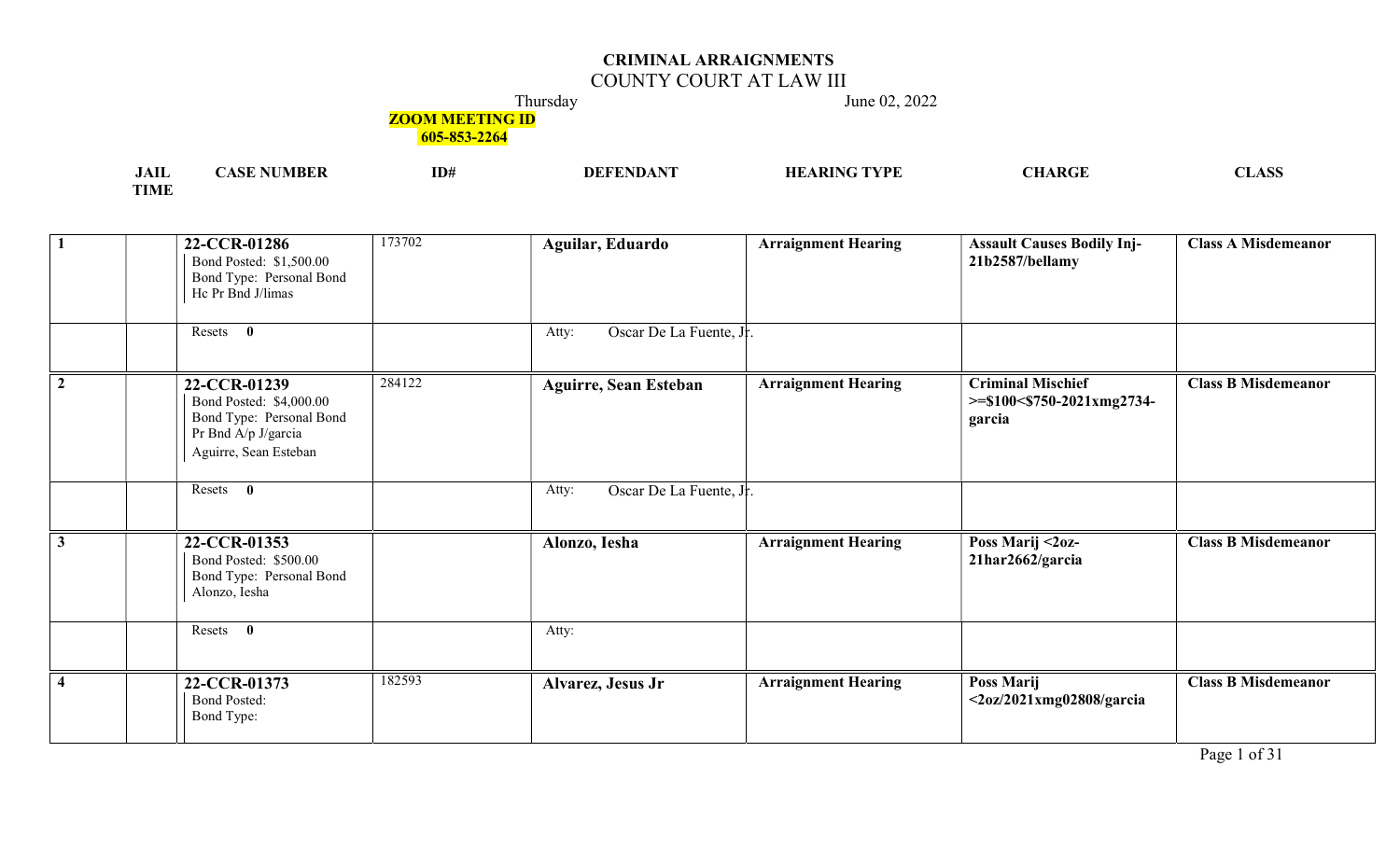## COUNTY COURT AT LAW III

Thursday June 02, 2022

## **ZOOM MEETING ID**

| <b>JAII</b> | ' NUMBER<br>`ASE | ID# | <b>DEFENDANT</b> | $\mathbf{T}\mathbf{YPE}$<br><b>ARING</b><br>НB | CHARGE | <b>CLASS</b> |
|-------------|------------------|-----|------------------|------------------------------------------------|--------|--------------|
| <b>TIME</b> |                  |     |                  |                                                |        |              |

| $\mathbf{1}$            | 22-CCR-01286<br>Bond Posted: \$1,500.00<br>Bond Type: Personal Bond<br>Hc Pr Bnd J/limas                            | 173702 | Aguilar, Eduardo                 | <b>Arraignment Hearing</b> | <b>Assault Causes Bodily Inj-</b><br>21b2587/bellamy                | <b>Class A Misdemeanor</b> |
|-------------------------|---------------------------------------------------------------------------------------------------------------------|--------|----------------------------------|----------------------------|---------------------------------------------------------------------|----------------------------|
|                         | Resets 0                                                                                                            |        | Oscar De La Fuente, Jr.<br>Atty: |                            |                                                                     |                            |
| $\overline{2}$          | 22-CCR-01239<br>Bond Posted: \$4,000.00<br>Bond Type: Personal Bond<br>Pr Bnd A/p J/garcia<br>Aguirre, Sean Esteban | 284122 | <b>Aguirre, Sean Esteban</b>     | <b>Arraignment Hearing</b> | <b>Criminal Mischief</b><br>$>=$ \$100<\$750-2021xmg2734-<br>garcia | <b>Class B Misdemeanor</b> |
|                         | Resets 0                                                                                                            |        | Oscar De La Fuente, Jr.<br>Atty: |                            |                                                                     |                            |
| 3                       | 22-CCR-01353<br>Bond Posted: \$500.00<br>Bond Type: Personal Bond<br>Alonzo, Iesha                                  |        | Alonzo, Iesha                    | <b>Arraignment Hearing</b> | Poss Marij <2oz-<br>21har2662/garcia                                | <b>Class B Misdemeanor</b> |
|                         | Resets<br>$\mathbf{0}$                                                                                              |        | Atty:                            |                            |                                                                     |                            |
| $\overline{\mathbf{4}}$ | 22-CCR-01373<br><b>Bond Posted:</b><br>Bond Type:                                                                   | 182593 | Alvarez, Jesus Jr                | <b>Arraignment Hearing</b> | Poss Marij<br>$\langle 20z/2021xmg02808/garcia \rangle$             | <b>Class B Misdemeanor</b> |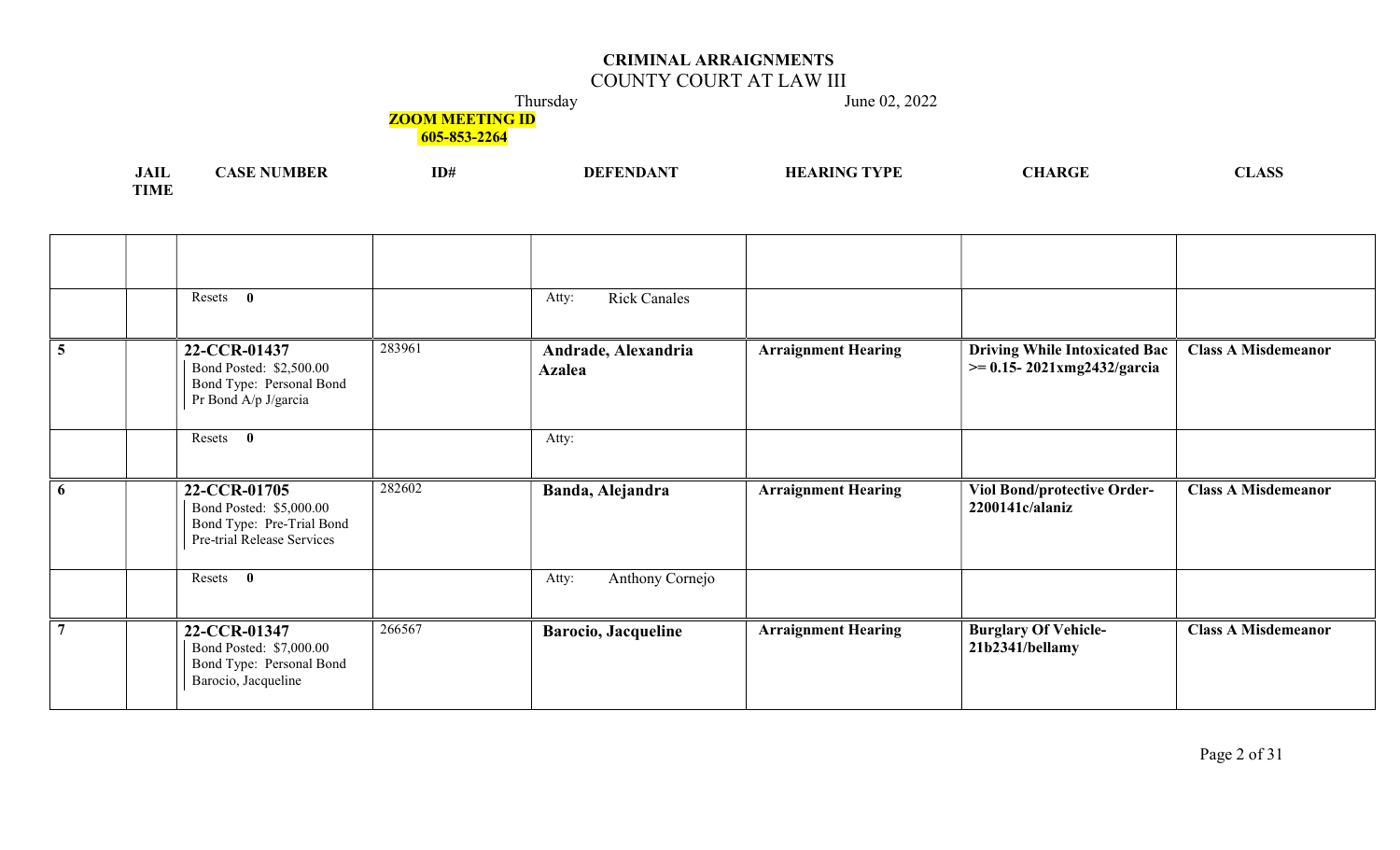## COUNTY COURT AT LAW III

Thursday June 02, 2022

# **ZOOM MEETING ID**

| .<br>JAIL   | <b>NUMBER</b><br>A Q IF<br>$\sim$ | ID# | DEFENDANT<br>DEFF | <b>HEARING</b><br>TYPE | <b>ARGF</b> | <b>NT</b><br>LASS.<br>the contract of the contract of the contract of the contract of the contract of |
|-------------|-----------------------------------|-----|-------------------|------------------------|-------------|-------------------------------------------------------------------------------------------------------|
| <b>TIME</b> |                                   |     |                   |                        |             |                                                                                                       |

|                | Resets $\mathbf{0}$                                                                                |        | <b>Rick Canales</b><br>Atty:         |                            |                                                                           |                            |
|----------------|----------------------------------------------------------------------------------------------------|--------|--------------------------------------|----------------------------|---------------------------------------------------------------------------|----------------------------|
| $\overline{5}$ | 22-CCR-01437<br>Bond Posted: \$2,500.00<br>Bond Type: Personal Bond<br>Pr Bond A/p J/garcia        | 283961 | Andrade, Alexandria<br><b>Azalea</b> | <b>Arraignment Hearing</b> | <b>Driving While Intoxicated Bac</b><br>$\geq 0.15 - 2021$ xmg2432/garcia | <b>Class A Misdemeanor</b> |
|                | Resets 0                                                                                           |        | Atty:                                |                            |                                                                           |                            |
| 6              | 22-CCR-01705<br>Bond Posted: \$5,000.00<br>Bond Type: Pre-Trial Bond<br>Pre-trial Release Services | 282602 | Banda, Alejandra                     | <b>Arraignment Hearing</b> | <b>Viol Bond/protective Order-</b><br>2200141c/alaniz                     | <b>Class A Misdemeanor</b> |
|                | $\bf{0}$<br>Resets                                                                                 |        | Anthony Cornejo<br>Atty:             |                            |                                                                           |                            |
|                | 22-CCR-01347<br>Bond Posted: \$7,000.00<br>Bond Type: Personal Bond<br>Barocio, Jacqueline         | 266567 | <b>Barocio, Jacqueline</b>           | <b>Arraignment Hearing</b> | <b>Burglary Of Vehicle-</b><br>21b2341/bellamy                            | <b>Class A Misdemeanor</b> |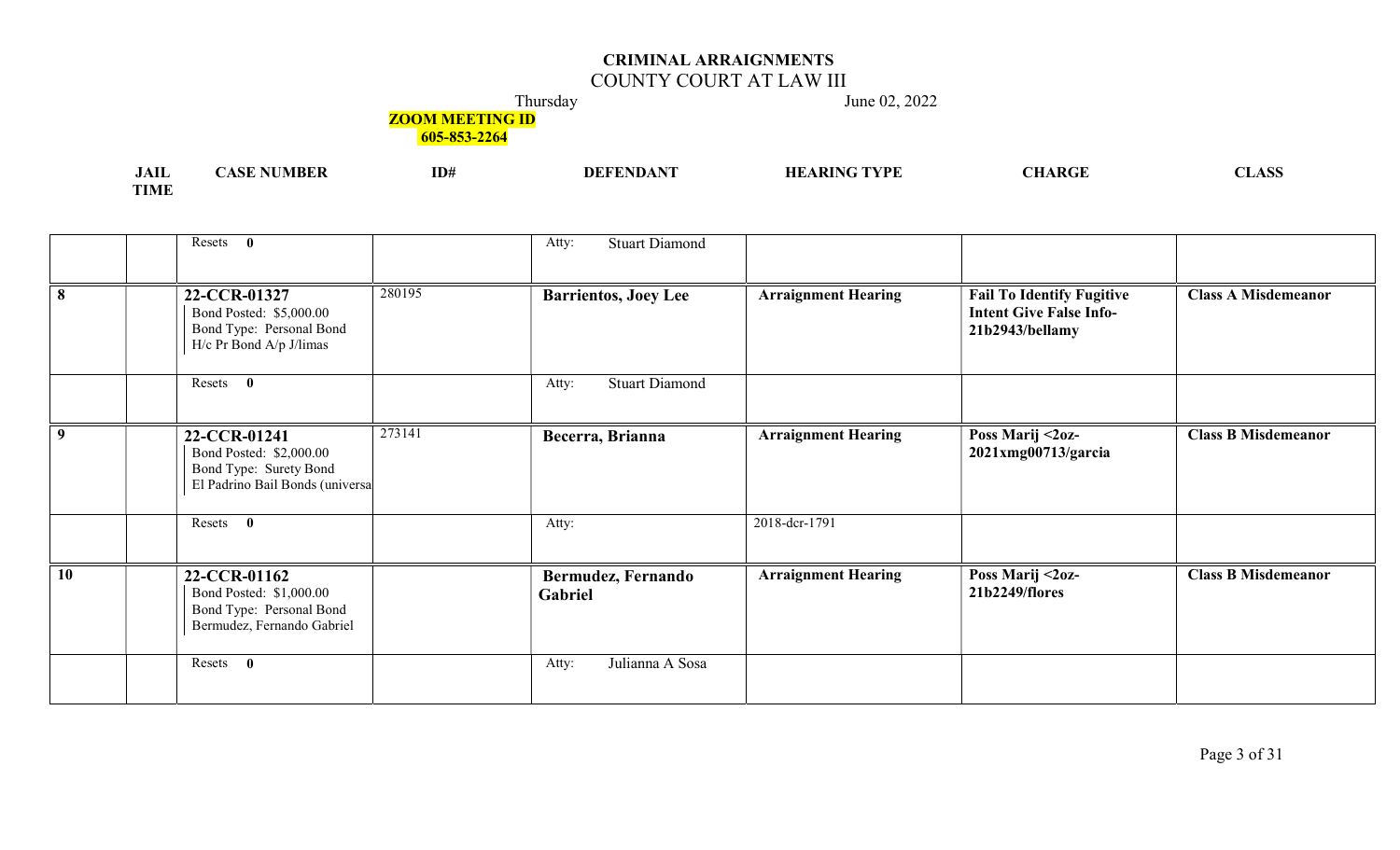## COUNTY COURT AT LAW III

Thursday June 02, 2022

# **ZOOM MEETING ID**

| <b>JAII</b> | <b>NUMBER</b><br>ASE 1 | ID# | <b>DEFENDANT</b> | <b>HEARING TYPE</b> | <b>CHARGE</b> | <b>CLASS</b> |
|-------------|------------------------|-----|------------------|---------------------|---------------|--------------|
| <b>TIME</b> |                        |     |                  |                     |               |              |

|                 | Resets 0                                                                                             |        | <b>Stuart Diamond</b><br>Atty: |                            |                                                                                       |                            |
|-----------------|------------------------------------------------------------------------------------------------------|--------|--------------------------------|----------------------------|---------------------------------------------------------------------------------------|----------------------------|
|                 | 22-CCR-01327<br>Bond Posted: \$5,000.00<br>Bond Type: Personal Bond<br>$H/c$ Pr Bond A/p J/limas     | 280195 | <b>Barrientos, Joey Lee</b>    | <b>Arraignment Hearing</b> | <b>Fail To Identify Fugitive</b><br><b>Intent Give False Info-</b><br>21b2943/bellamy | <b>Class A Misdemeanor</b> |
|                 | Resets 0                                                                                             |        | <b>Stuart Diamond</b><br>Atty: |                            |                                                                                       |                            |
| 9               | 22-CCR-01241<br>Bond Posted: \$2,000.00<br>Bond Type: Surety Bond<br>El Padrino Bail Bonds (universa | 273141 | Becerra, Brianna               | <b>Arraignment Hearing</b> | Poss Marij <2oz-<br>$2021$ xmg $00713$ /garcia                                        | <b>Class B Misdemeanor</b> |
|                 | Resets 0                                                                                             |        | Atty:                          | 2018-dcr-1791              |                                                                                       |                            |
| $\overline{10}$ | 22-CCR-01162<br>Bond Posted: \$1,000.00<br>Bond Type: Personal Bond<br>Bermudez, Fernando Gabriel    |        | Bermudez, Fernando<br>Gabriel  | <b>Arraignment Hearing</b> | Poss Marij <2oz-<br>21b2249/flores                                                    | <b>Class B Misdemeanor</b> |
|                 | $\mathbf{0}$<br>Resets                                                                               |        | Julianna A Sosa<br>Atty:       |                            |                                                                                       |                            |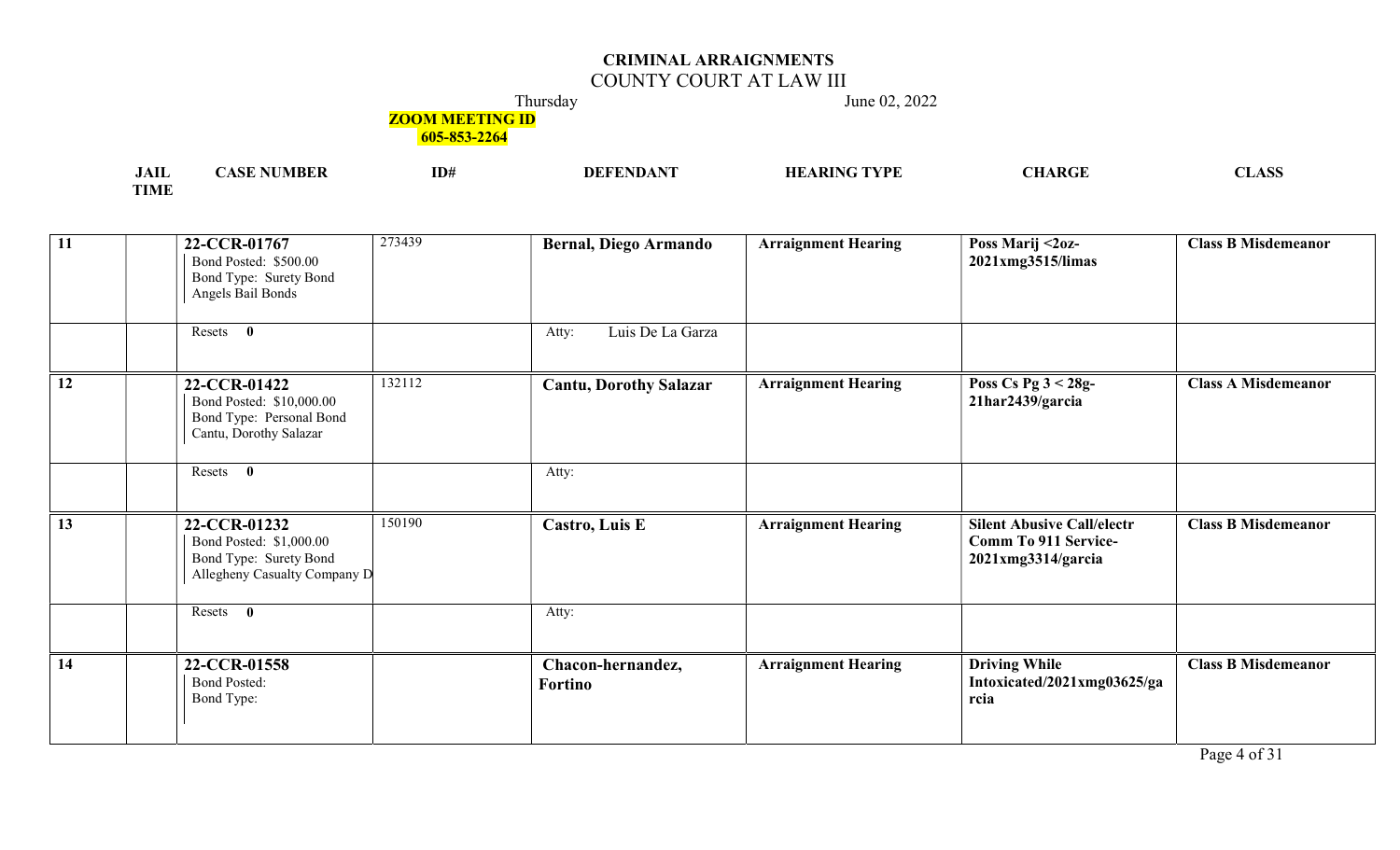## COUNTY COURT AT LAW III

Thursday June 02, 2022

## **ZOOM MEETING ID**

605-853-2264

| .<br><b>JAIL</b> | ID# | TVDL<br>. nte<br>лг<br>w | $\sqrt{2}$ |
|------------------|-----|--------------------------|------------|
| TIME             |     |                          |            |

| $\boxed{11}$    | 273439<br>22-CCR-01767<br>Bond Posted: \$500.00<br>Bond Type: Surety Bond<br>Angels Bail Bonds              | <b>Bernal, Diego Armando</b>        | <b>Arraignment Hearing</b> | Poss Marij <2oz-<br>2021xmg3515/limas                                                  | <b>Class B Misdemeanor</b> |
|-----------------|-------------------------------------------------------------------------------------------------------------|-------------------------------------|----------------------------|----------------------------------------------------------------------------------------|----------------------------|
|                 | Resets 0                                                                                                    | Luis De La Garza<br>Atty:           |                            |                                                                                        |                            |
| 12              | 132112<br>22-CCR-01422<br>Bond Posted: \$10,000.00<br>Bond Type: Personal Bond<br>Cantu, Dorothy Salazar    | <b>Cantu, Dorothy Salazar</b>       | <b>Arraignment Hearing</b> | Poss Cs Pg $3 < 28g$ -<br>21har2439/garcia                                             | <b>Class A Misdemeanor</b> |
|                 | Resets 0                                                                                                    | Atty:                               |                            |                                                                                        |                            |
| 13              | 150190<br>22-CCR-01232<br>Bond Posted: \$1,000.00<br>Bond Type: Surety Bond<br>Allegheny Casualty Company D | Castro, Luis E                      | <b>Arraignment Hearing</b> | <b>Silent Abusive Call/electr</b><br><b>Comm To 911 Service-</b><br>2021xmg3314/garcia | <b>Class B Misdemeanor</b> |
|                 | Resets 0                                                                                                    | Atty:                               |                            |                                                                                        |                            |
| $\overline{14}$ | 22-CCR-01558<br><b>Bond Posted:</b><br>Bond Type:                                                           | Chacon-hernandez,<br><b>Fortino</b> | <b>Arraignment Hearing</b> | <b>Driving While</b><br>Intoxicated/2021xmg03625/ga<br>rcia                            | <b>Class B Misdemeanor</b> |

Page 4 of 31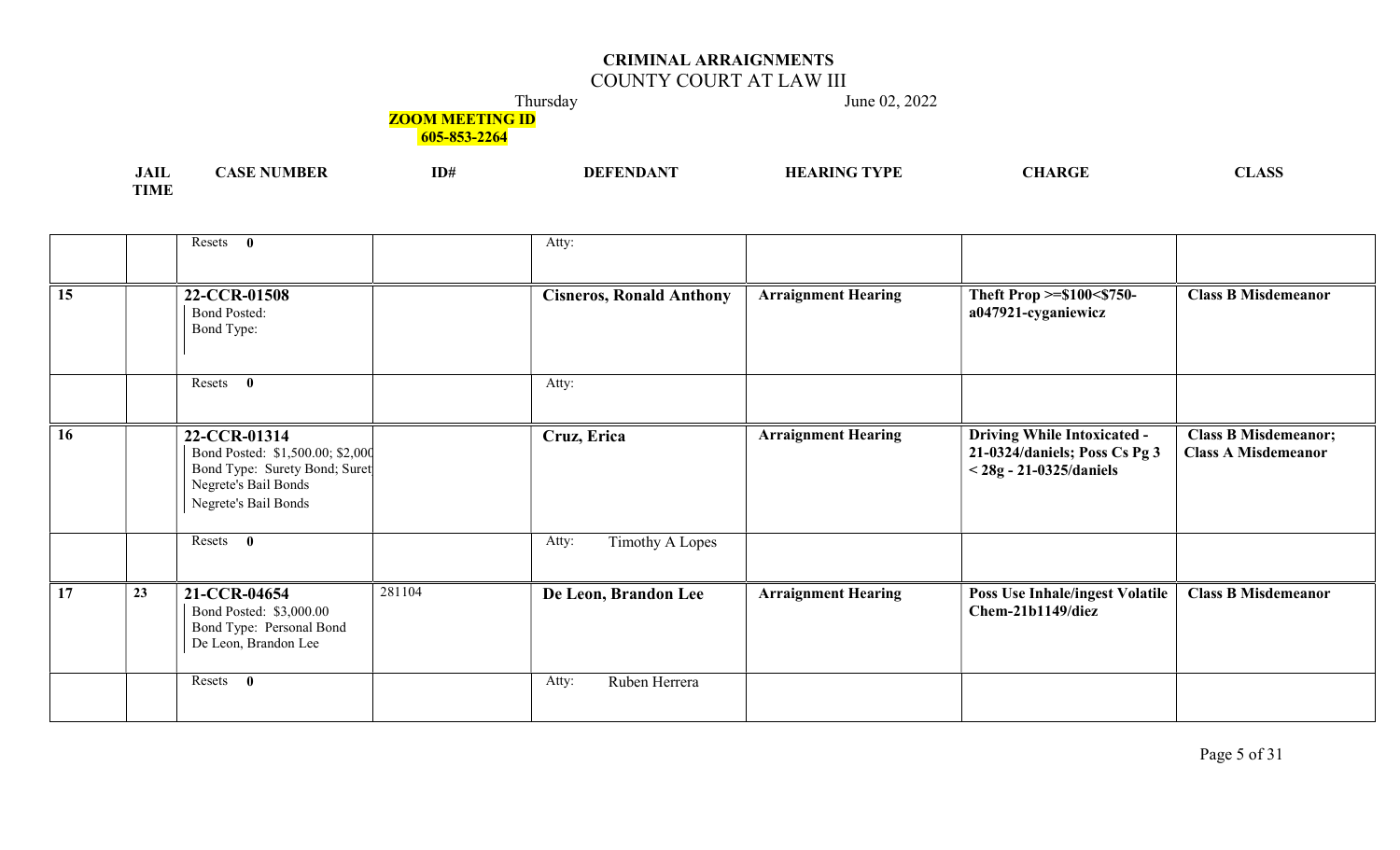## COUNTY COURT AT LAW III

Thursday June 02, 2022

**ZOOM MEETING ID** 

| .<br>JAIL   | MBER<br>. | ID# | <b>HEADING TVDE</b> | A R CI | 2 LA NOI |
|-------------|-----------|-----|---------------------|--------|----------|
| <b>TIME</b> |           |     |                     |        |          |

|    |    | Resets 0                                                                                                                          |        | Atty:                           |                            |                                                                                                  |                                                           |
|----|----|-----------------------------------------------------------------------------------------------------------------------------------|--------|---------------------------------|----------------------------|--------------------------------------------------------------------------------------------------|-----------------------------------------------------------|
| 15 |    | 22-CCR-01508<br><b>Bond Posted:</b><br>Bond Type:                                                                                 |        | <b>Cisneros, Ronald Anthony</b> | <b>Arraignment Hearing</b> | Theft Prop >=\$100<\$750-<br>a047921-cyganiewicz                                                 | <b>Class B Misdemeanor</b>                                |
|    |    | Resets 0                                                                                                                          |        | Atty:                           |                            |                                                                                                  |                                                           |
| 16 |    | 22-CCR-01314<br>Bond Posted: \$1,500.00; \$2,000<br>Bond Type: Surety Bond; Suret<br>Negrete's Bail Bonds<br>Negrete's Bail Bonds |        | Cruz, Erica                     | <b>Arraignment Hearing</b> | <b>Driving While Intoxicated -</b><br>21-0324/daniels; Poss Cs Pg 3<br>$<$ 28g - 21-0325/daniels | <b>Class B Misdemeanor;</b><br><b>Class A Misdemeanor</b> |
|    |    | Resets 0                                                                                                                          |        | <b>Timothy A Lopes</b><br>Atty: |                            |                                                                                                  |                                                           |
| 17 | 23 | 21-CCR-04654<br>Bond Posted: \$3,000.00<br>Bond Type: Personal Bond<br>De Leon, Brandon Lee                                       | 281104 | De Leon, Brandon Lee            | <b>Arraignment Hearing</b> | <b>Poss Use Inhale/ingest Volatile</b><br>Chem-21b1149/diez                                      | <b>Class B Misdemeanor</b>                                |
|    |    | Resets<br>$\mathbf{0}$                                                                                                            |        | Ruben Herrera<br>Atty:          |                            |                                                                                                  |                                                           |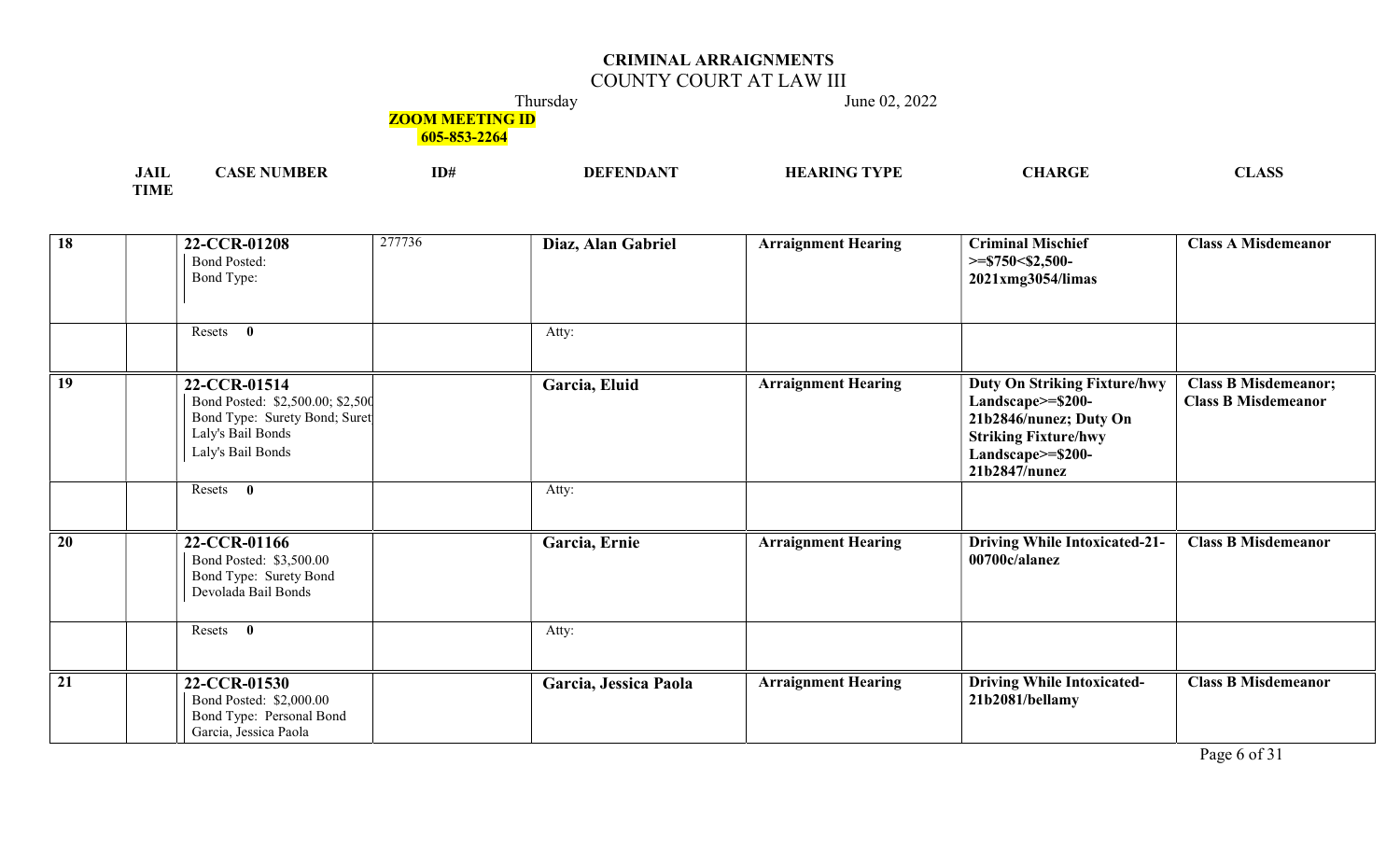## COUNTY COURT AT LAW III

Thursday June 02, 2022

## **ZOOM MEETING ID**

605-853-2264

| $\sim$<br>JAIL | AN P | ID# | TVDI<br>НF | <b><i>ARGF</i></b> | $\sim$<br>אטבע |
|----------------|------|-----|------------|--------------------|----------------|
| -----<br>. IV  |      |     |            |                    |                |

| $\overline{18}$ | 22-CCR-01208<br><b>Bond Posted:</b><br>Bond Type:                                                                           | 277736 | Diaz, Alan Gabriel    | <b>Arraignment Hearing</b> | <b>Criminal Mischief</b><br>$>=$ \$750<\$2,500-<br>2021xmg3054/limas                                                                                    | <b>Class A Misdemeanor</b>                                |
|-----------------|-----------------------------------------------------------------------------------------------------------------------------|--------|-----------------------|----------------------------|---------------------------------------------------------------------------------------------------------------------------------------------------------|-----------------------------------------------------------|
|                 | $\mathbf{0}$<br>Resets                                                                                                      |        | Atty:                 |                            |                                                                                                                                                         |                                                           |
| 19              | 22-CCR-01514<br>Bond Posted: \$2,500.00; \$2,500<br>Bond Type: Surety Bond; Suret<br>Laly's Bail Bonds<br>Laly's Bail Bonds |        | Garcia, Eluid         | <b>Arraignment Hearing</b> | <b>Duty On Striking Fixture/hwy</b><br>Landscape>=\$200-<br>21b2846/nunez; Duty On<br><b>Striking Fixture/hwy</b><br>Landscape>=\$200-<br>21b2847/nunez | <b>Class B Misdemeanor;</b><br><b>Class B Misdemeanor</b> |
|                 | Resets 0                                                                                                                    |        | Atty:                 |                            |                                                                                                                                                         |                                                           |
| $\overline{20}$ | 22-CCR-01166<br>Bond Posted: \$3,500.00<br>Bond Type: Surety Bond<br>Devolada Bail Bonds                                    |        | Garcia, Ernie         | <b>Arraignment Hearing</b> | <b>Driving While Intoxicated-21-</b><br>00700c/alanez                                                                                                   | <b>Class B Misdemeanor</b>                                |
|                 | Resets<br>$\bf{0}$                                                                                                          |        | Atty:                 |                            |                                                                                                                                                         |                                                           |
| $\overline{21}$ | 22-CCR-01530<br>Bond Posted: \$2,000.00<br>Bond Type: Personal Bond<br>Garcia, Jessica Paola                                |        | Garcia, Jessica Paola | <b>Arraignment Hearing</b> | <b>Driving While Intoxicated-</b><br>21b2081/bellamy                                                                                                    | <b>Class B Misdemeanor</b>                                |

Page 6 of 31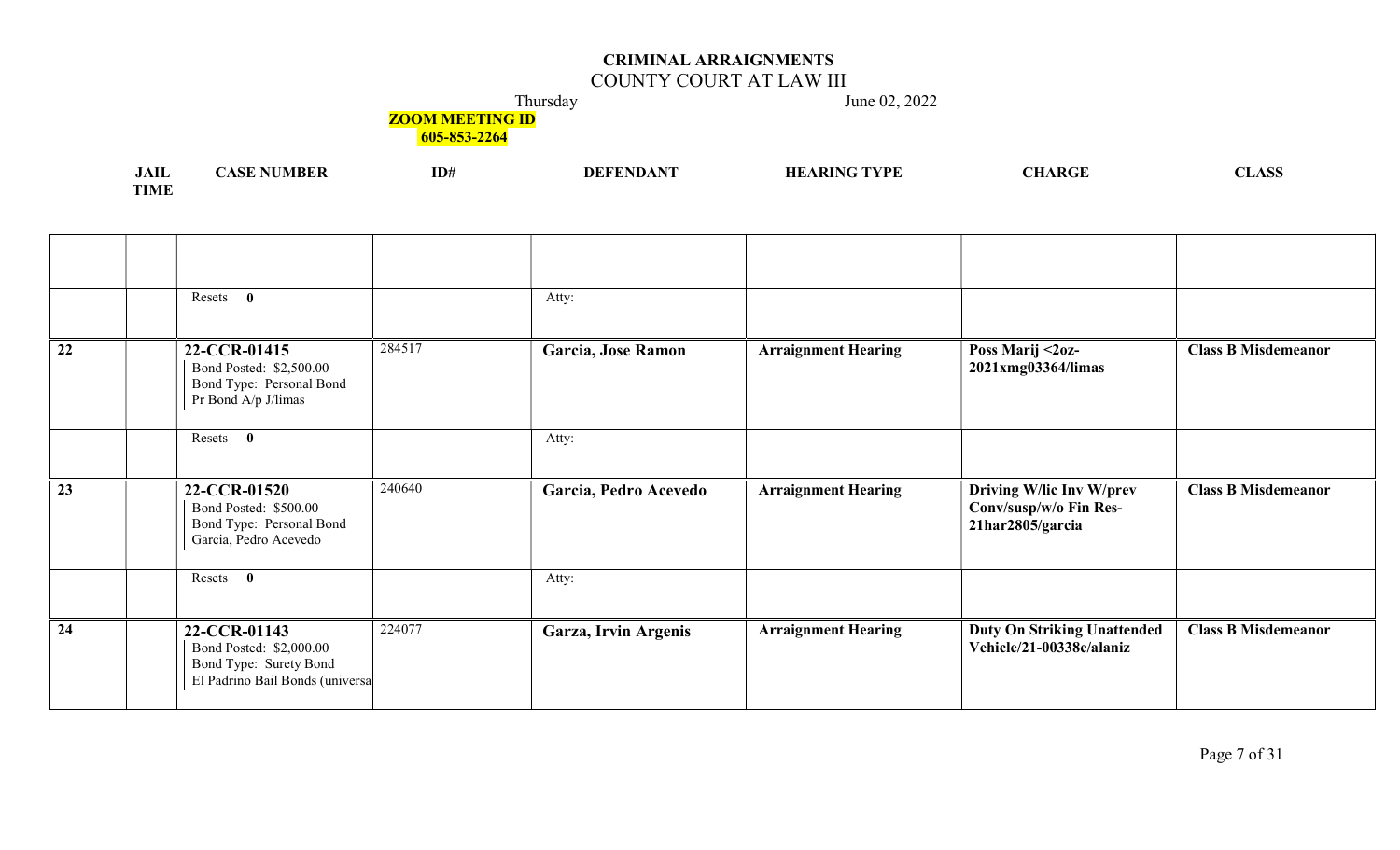## COUNTY COURT AT LAW III

Thursday June 02, 2022

**ZOOM MEETING ID** 

| <b>JAIL</b> | `NUMBER<br>ASE | ID# | <b>DEFENDANT</b> | <b>HEARING TVPE</b> | <b>CHARGE</b> | $\triangle$ CC<br>$\sim$ $\sim$ |
|-------------|----------------|-----|------------------|---------------------|---------------|---------------------------------|
| <b>TIME</b> |                |     |                  |                     |               |                                 |

|                 | Resets 0                                                                                             |        | Atty:                 |                            |                                                                        |                            |
|-----------------|------------------------------------------------------------------------------------------------------|--------|-----------------------|----------------------------|------------------------------------------------------------------------|----------------------------|
| 22              | 22-CCR-01415<br>Bond Posted: \$2,500.00<br>Bond Type: Personal Bond<br>Pr Bond A/p J/limas           | 284517 | Garcia, Jose Ramon    | <b>Arraignment Hearing</b> | Poss Marij <2oz-<br>2021xmg03364/limas                                 | <b>Class B Misdemeanor</b> |
|                 | Resets 0                                                                                             |        | Atty:                 |                            |                                                                        |                            |
| $\overline{23}$ | 22-CCR-01520<br>Bond Posted: \$500.00<br>Bond Type: Personal Bond<br>Garcia, Pedro Acevedo           | 240640 | Garcia, Pedro Acevedo | <b>Arraignment Hearing</b> | Driving W/lic Inv W/prev<br>Conv/susp/w/o Fin Res-<br>21har2805/garcia | <b>Class B Misdemeanor</b> |
|                 | Resets 0                                                                                             |        | Atty:                 |                            |                                                                        |                            |
| 24              | 22-CCR-01143<br>Bond Posted: \$2,000.00<br>Bond Type: Surety Bond<br>El Padrino Bail Bonds (universa | 224077 | Garza, Irvin Argenis  | <b>Arraignment Hearing</b> | <b>Duty On Striking Unattended</b><br>Vehicle/21-00338c/alaniz         | <b>Class B Misdemeanor</b> |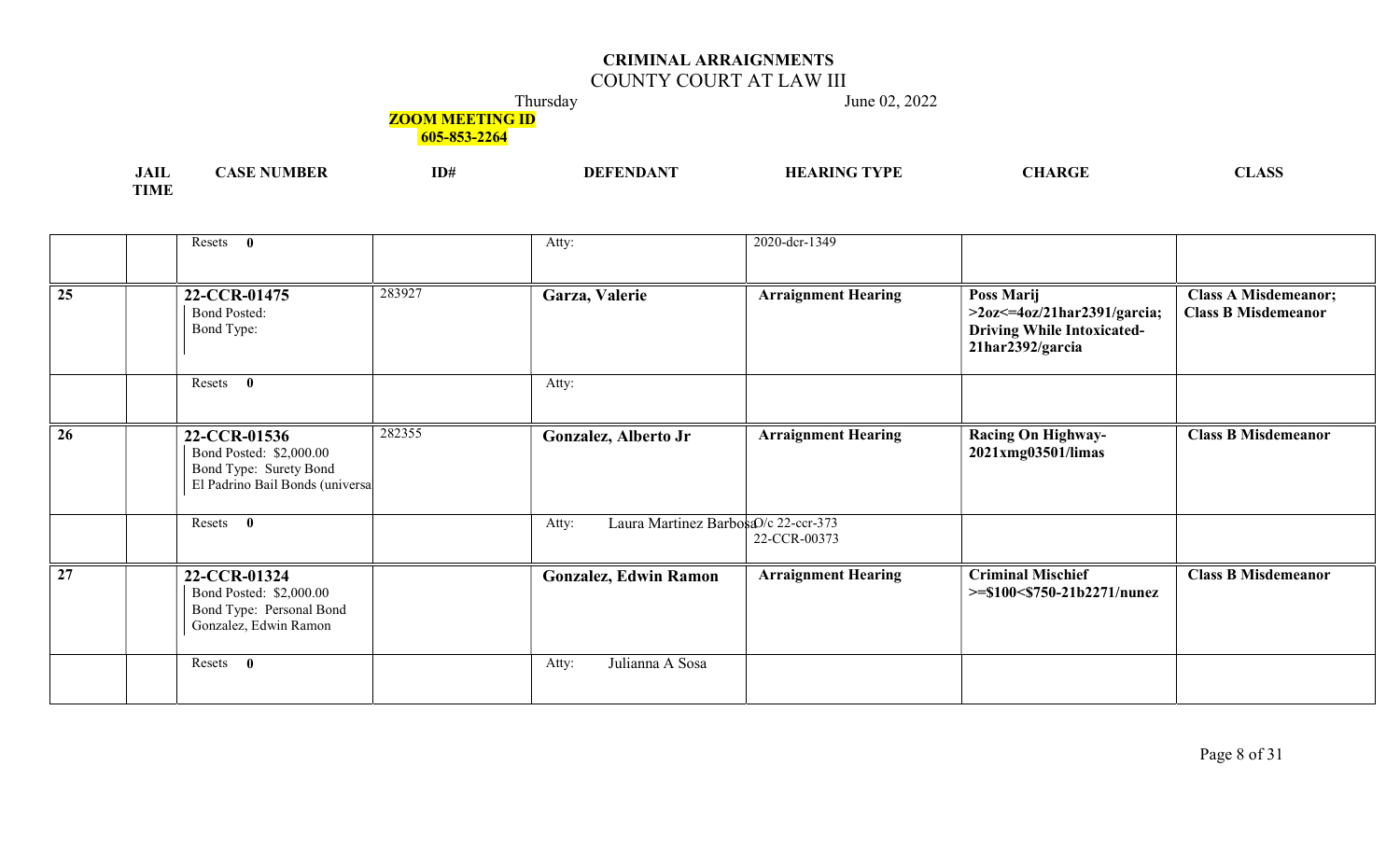## COUNTY COURT AT LAW III

Thursday June 02, 2022

# **ZOOM MEETING ID**

| .<br>JAIL   | NIKF<br>аэн | ID# | <b>TETT A RIGHT</b><br>DF | $^{\circ}$ TVDF<br>HF<br>1 I L' | $\sqrt{2}$<br><b>TERMINA</b> |
|-------------|-------------|-----|---------------------------|---------------------------------|------------------------------|
| <b>TIME</b> |             |     |                           |                                 |                              |

|                 | Resets 0                                                                                             |        | Atty:                                         | 2020-dcr-1349              |                                                                                                       |                                                           |
|-----------------|------------------------------------------------------------------------------------------------------|--------|-----------------------------------------------|----------------------------|-------------------------------------------------------------------------------------------------------|-----------------------------------------------------------|
| $\overline{25}$ | 22-CCR-01475<br><b>Bond Posted:</b><br>Bond Type:                                                    | 283927 | Garza, Valerie                                | <b>Arraignment Hearing</b> | Poss Marij<br>$>20z<=40z/21$ har2391/garcia;<br><b>Driving While Intoxicated-</b><br>21har2392/garcia | <b>Class A Misdemeanor;</b><br><b>Class B Misdemeanor</b> |
|                 | Resets 0                                                                                             |        | Atty:                                         |                            |                                                                                                       |                                                           |
| 26              | 22-CCR-01536<br>Bond Posted: \$2,000.00<br>Bond Type: Surety Bond<br>El Padrino Bail Bonds (universa | 282355 | Gonzalez, Alberto Jr                          | <b>Arraignment Hearing</b> | <b>Racing On Highway-</b><br>2021xmg03501/limas                                                       | <b>Class B Misdemeanor</b>                                |
|                 | Resets 0                                                                                             |        | Laura Martinez BarbosaO/c 22-ccr-373<br>Atty: | 22-CCR-00373               |                                                                                                       |                                                           |
| $\overline{27}$ | 22-CCR-01324<br>Bond Posted: \$2,000.00<br>Bond Type: Personal Bond<br>Gonzalez, Edwin Ramon         |        | <b>Gonzalez, Edwin Ramon</b>                  | <b>Arraignment Hearing</b> | <b>Criminal Mischief</b><br>$>= $100 < $750-21b2271/numez$                                            | <b>Class B Misdemeanor</b>                                |
|                 | Resets 0                                                                                             |        | Julianna A Sosa<br>Atty:                      |                            |                                                                                                       |                                                           |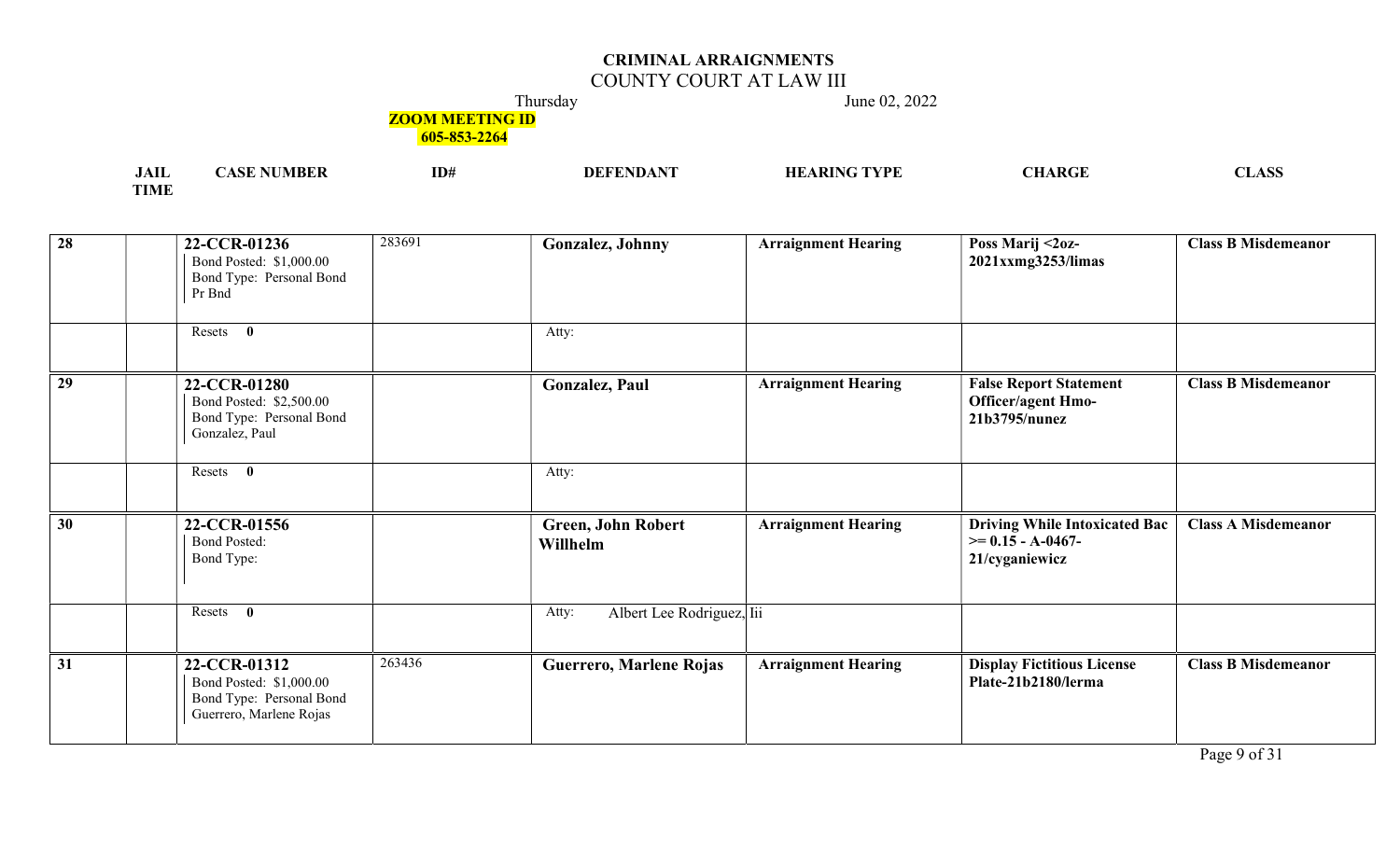## COUNTY COURT AT LAW III

Thursday June 02, 2022

## **ZOOM MEETING ID**

605-853-2264

| .<br>иш                  | VIKL | ID# | VDI | ~-<br>$\sim$<br>, LIAN |
|--------------------------|------|-----|-----|------------------------|
| <b>TOTA CT</b><br>LIVILL |      |     |     |                        |

| $\overline{28}$ | 22-CCR-01236<br>Bond Posted: \$1,000.00<br>Bond Type: Personal Bond<br>Pr Bnd                  | 283691 | Gonzalez, Johnny                      | <b>Arraignment Hearing</b> | Poss Marij <2oz-<br>2021xxmg3253/limas                                              | <b>Class B Misdemeanor</b> |
|-----------------|------------------------------------------------------------------------------------------------|--------|---------------------------------------|----------------------------|-------------------------------------------------------------------------------------|----------------------------|
|                 | $\mathbf{0}$<br>Resets                                                                         |        | Atty:                                 |                            |                                                                                     |                            |
| 29              | 22-CCR-01280<br>Bond Posted: \$2,500.00<br>Bond Type: Personal Bond<br>Gonzalez, Paul          |        | Gonzalez, Paul                        | <b>Arraignment Hearing</b> | <b>False Report Statement</b><br><b>Officer/agent Hmo-</b><br>21b3795/nunez         | <b>Class B Misdemeanor</b> |
|                 | Resets 0                                                                                       |        | Atty:                                 |                            |                                                                                     |                            |
| 30              | 22-CCR-01556<br><b>Bond Posted:</b><br>Bond Type:                                              |        | <b>Green, John Robert</b><br>Willhelm | <b>Arraignment Hearing</b> | <b>Driving While Intoxicated Bac</b><br>$\geq 0.15 - A - 0.467 -$<br>21/cyganiewicz | <b>Class A Misdemeanor</b> |
|                 | Resets 0                                                                                       |        | Albert Lee Rodriguez, lii<br>Atty:    |                            |                                                                                     |                            |
| $\overline{31}$ | 22-CCR-01312<br>Bond Posted: \$1,000.00<br>Bond Type: Personal Bond<br>Guerrero, Marlene Rojas | 263436 | Guerrero, Marlene Rojas               | <b>Arraignment Hearing</b> | <b>Display Fictitious License</b><br>Plate-21b2180/lerma                            | <b>Class B Misdemeanor</b> |

Page 9 of 31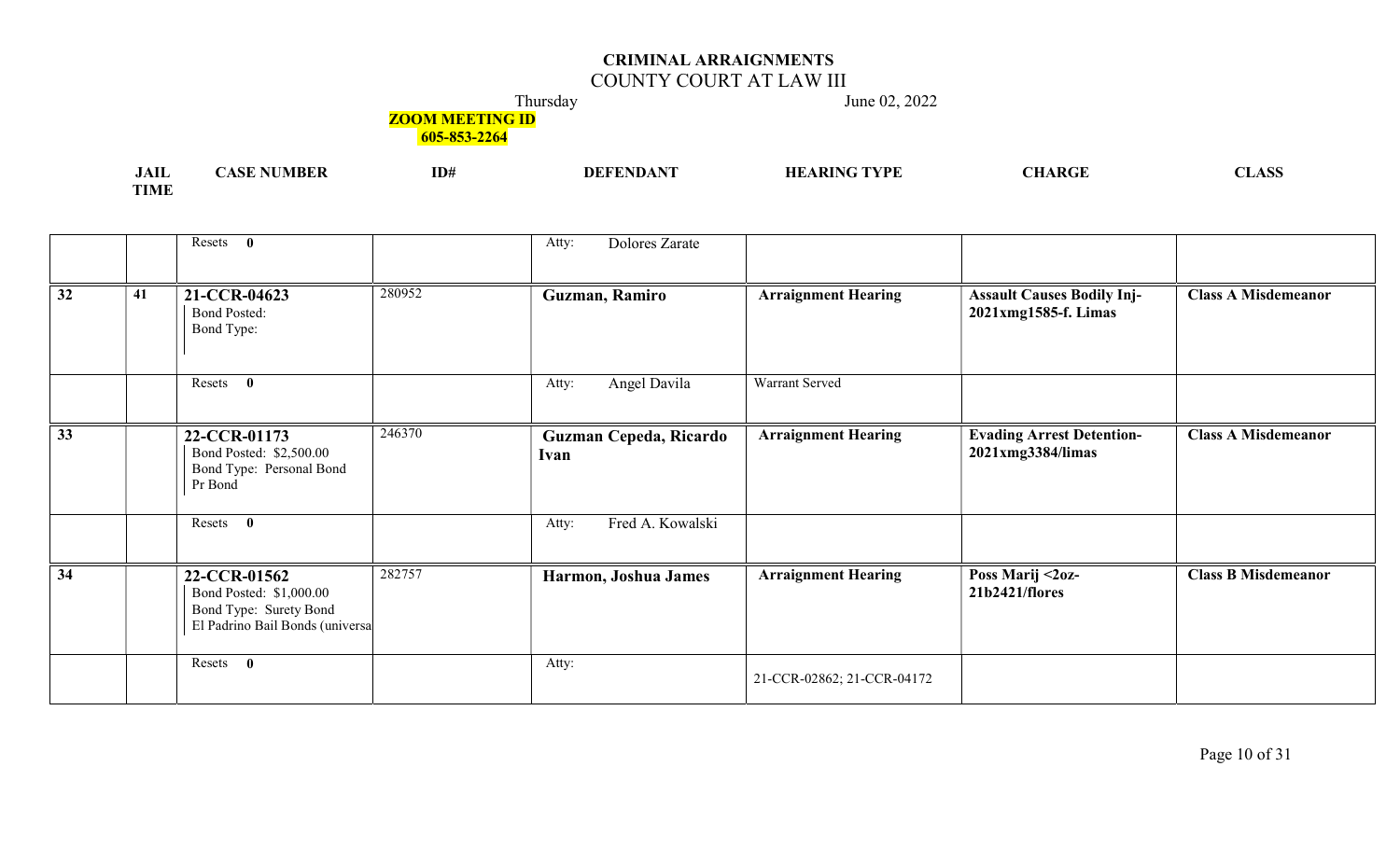## COUNTY COURT AT LAW III

Thursday June 02, 2022

# **ZOOM MEETING ID**

| .<br>JAIL   | MBEF | ID# | $\mathbf{v}$<br><b>DEFENDA</b> | ' TVDE<br>$\mathbf{M}$ | $\Lambda$ $\mathbf{R} C^{\mathsf{T}}$ | ^^^<br>LADD |
|-------------|------|-----|--------------------------------|------------------------|---------------------------------------|-------------|
| <b>TIME</b> |      |     |                                |                        |                                       |             |

|                 |    | Resets 0                                                                                             |        | Dolores Zarate<br>Atty:        |                            |                                                           |                            |
|-----------------|----|------------------------------------------------------------------------------------------------------|--------|--------------------------------|----------------------------|-----------------------------------------------------------|----------------------------|
| $\overline{32}$ | 41 | 21-CCR-04623<br><b>Bond Posted:</b><br>Bond Type:                                                    | 280952 | Guzman, Ramiro                 | <b>Arraignment Hearing</b> | <b>Assault Causes Bodily Inj-</b><br>2021xmg1585-f. Limas | <b>Class A Misdemeanor</b> |
|                 |    | Resets<br>$\mathbf{0}$                                                                               |        | Angel Davila<br>Atty:          | Warrant Served             |                                                           |                            |
| 33              |    | 22-CCR-01173<br>Bond Posted: \$2,500.00<br>Bond Type: Personal Bond<br>Pr Bond                       | 246370 | Guzman Cepeda, Ricardo<br>Ivan | <b>Arraignment Hearing</b> | <b>Evading Arrest Detention-</b><br>2021xmg3384/limas     | <b>Class A Misdemeanor</b> |
|                 |    | $\mathbf{0}$<br>Resets                                                                               |        | Fred A. Kowalski<br>Atty:      |                            |                                                           |                            |
| $\overline{34}$ |    | 22-CCR-01562<br>Bond Posted: \$1,000.00<br>Bond Type: Surety Bond<br>El Padrino Bail Bonds (universa | 282757 | Harmon, Joshua James           | <b>Arraignment Hearing</b> | Poss Marij <2oz-<br>21b2421/flores                        | <b>Class B Misdemeanor</b> |
|                 |    | Resets<br>$\mathbf{0}$                                                                               |        | Atty:                          | 21-CCR-02862; 21-CCR-04172 |                                                           |                            |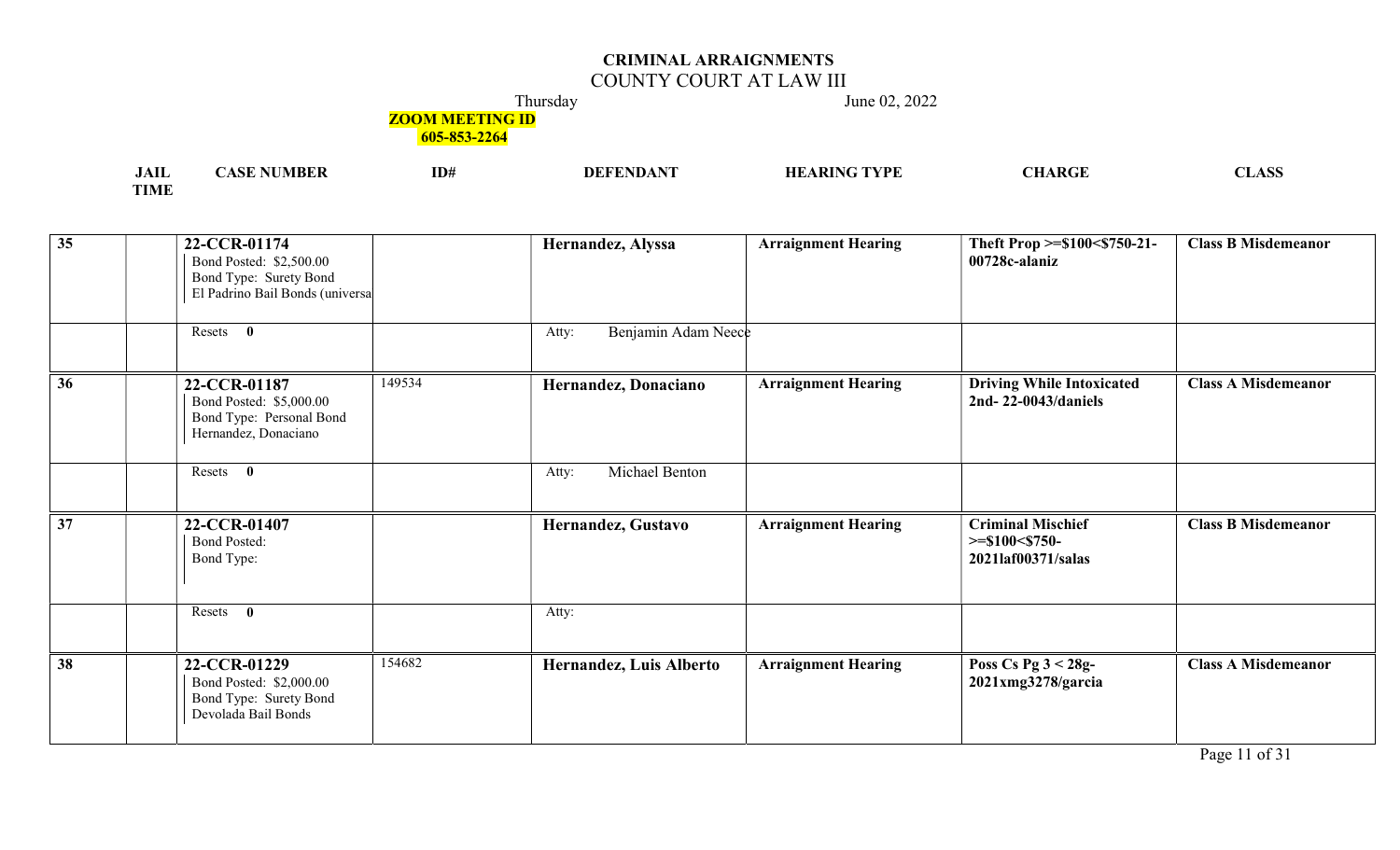## COUNTY COURT AT LAW III

Thursday June 02, 2022

## **ZOOM MEETING ID**

| $\mathbf{A}$<br>лы    | ID# | ) н | 7DE. | $\sqrt{N}$<br>. ш.<br>.nut | LIND |
|-----------------------|-----|-----|------|----------------------------|------|
| <b>COTA CT</b><br>TMF |     |     |      |                            |      |

| $\overline{35}$ | 22-CCR-01174<br>Bond Posted: \$2,500.00<br>Bond Type: Surety Bond<br>El Padrino Bail Bonds (universa<br>Resets<br>$\bf{0}$ |        | Hernandez, Alyssa<br>Benjamin Adam Neece<br>Atty: | <b>Arraignment Hearing</b> | Theft Prop >=\$100<\$750-21-<br>00728c-alaniz                           | <b>Class B Misdemeanor</b> |
|-----------------|----------------------------------------------------------------------------------------------------------------------------|--------|---------------------------------------------------|----------------------------|-------------------------------------------------------------------------|----------------------------|
|                 |                                                                                                                            |        |                                                   |                            |                                                                         |                            |
| 36              | 22-CCR-01187<br>Bond Posted: \$5,000.00<br>Bond Type: Personal Bond<br>Hernandez, Donaciano                                | 149534 | Hernandez, Donaciano                              | <b>Arraignment Hearing</b> | <b>Driving While Intoxicated</b><br>2nd-22-0043/daniels                 | <b>Class A Misdemeanor</b> |
|                 | Resets 0                                                                                                                   |        | Michael Benton<br>Atty:                           |                            |                                                                         |                            |
| 37              | 22-CCR-01407<br><b>Bond Posted:</b><br>Bond Type:                                                                          |        | Hernandez, Gustavo                                | <b>Arraignment Hearing</b> | <b>Criminal Mischief</b><br>$>=$ \$100 $<$ \$750-<br>2021laf00371/salas | <b>Class B Misdemeanor</b> |
|                 | Resets<br>$\bf{0}$                                                                                                         |        | Atty:                                             |                            |                                                                         |                            |
| $\overline{38}$ | 22-CCR-01229<br>Bond Posted: \$2,000.00<br>Bond Type: Surety Bond<br>Devolada Bail Bonds                                   | 154682 | <b>Hernandez, Luis Alberto</b>                    | <b>Arraignment Hearing</b> | Poss Cs Pg $3 < 28g$ -<br>2021xmg3278/garcia                            | <b>Class A Misdemeanor</b> |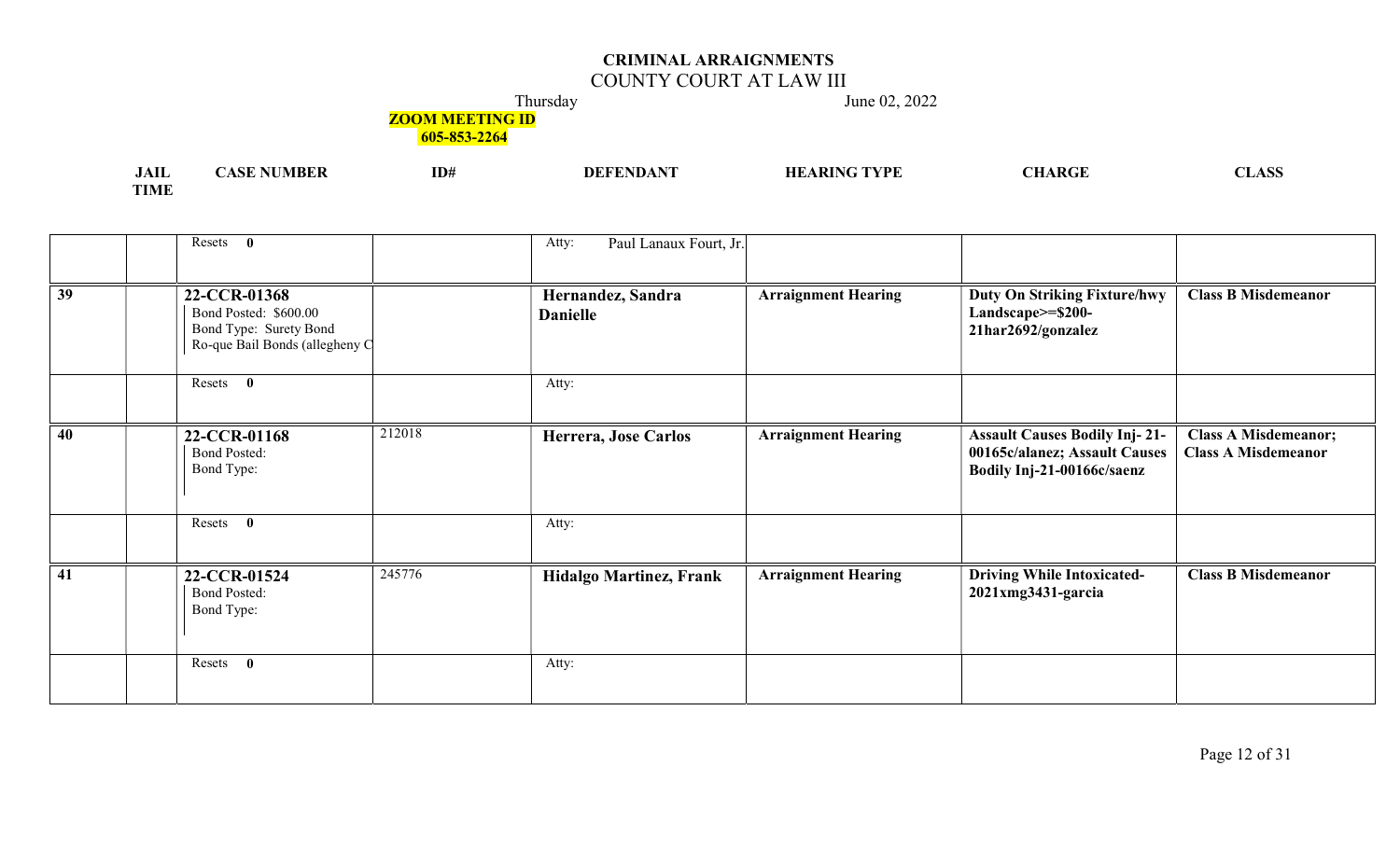## COUNTY COURT AT LAW III

Thursday June 02, 2022

**ZOOM MEETING ID** 

| I A TI<br>JAIL  | ASI | ID# | <b>DEFENDANT</b> | ' TVDI | ARGI | $\sqrt{2}$<br>, LI NOO |
|-----------------|-----|-----|------------------|--------|------|------------------------|
| TIME<br>. LIVLE |     |     |                  |        |      |                        |

|                 | Resets 0                                                                                          |        | Paul Lanaux Fourt, Jr.<br>Atty:      |                            |                                                                                                     |                                                           |
|-----------------|---------------------------------------------------------------------------------------------------|--------|--------------------------------------|----------------------------|-----------------------------------------------------------------------------------------------------|-----------------------------------------------------------|
| $\overline{39}$ | 22-CCR-01368<br>Bond Posted: \$600.00<br>Bond Type: Surety Bond<br>Ro-que Bail Bonds (allegheny C |        | Hernandez, Sandra<br><b>Danielle</b> | <b>Arraignment Hearing</b> | <b>Duty On Striking Fixture/hwy</b><br>Landscape>=\$200-<br>21har2692/gonzalez                      | <b>Class B Misdemeanor</b>                                |
|                 | Resets 0                                                                                          |        | Atty:                                |                            |                                                                                                     |                                                           |
| 40              | 22-CCR-01168<br><b>Bond Posted:</b><br>Bond Type:                                                 | 212018 | Herrera, Jose Carlos                 | <b>Arraignment Hearing</b> | <b>Assault Causes Bodily Inj-21-</b><br>00165c/alanez; Assault Causes<br>Bodily Inj-21-00166c/saenz | <b>Class A Misdemeanor;</b><br><b>Class A Misdemeanor</b> |
|                 | $\mathbf{0}$<br>Resets                                                                            |        | Atty:                                |                            |                                                                                                     |                                                           |
| 41              | 22-CCR-01524<br><b>Bond Posted:</b><br>Bond Type:                                                 | 245776 | <b>Hidalgo Martinez, Frank</b>       | <b>Arraignment Hearing</b> | <b>Driving While Intoxicated-</b><br>2021xmg3431-garcia                                             | <b>Class B Misdemeanor</b>                                |
|                 | $\mathbf{0}$<br>Resets                                                                            |        | Atty:                                |                            |                                                                                                     |                                                           |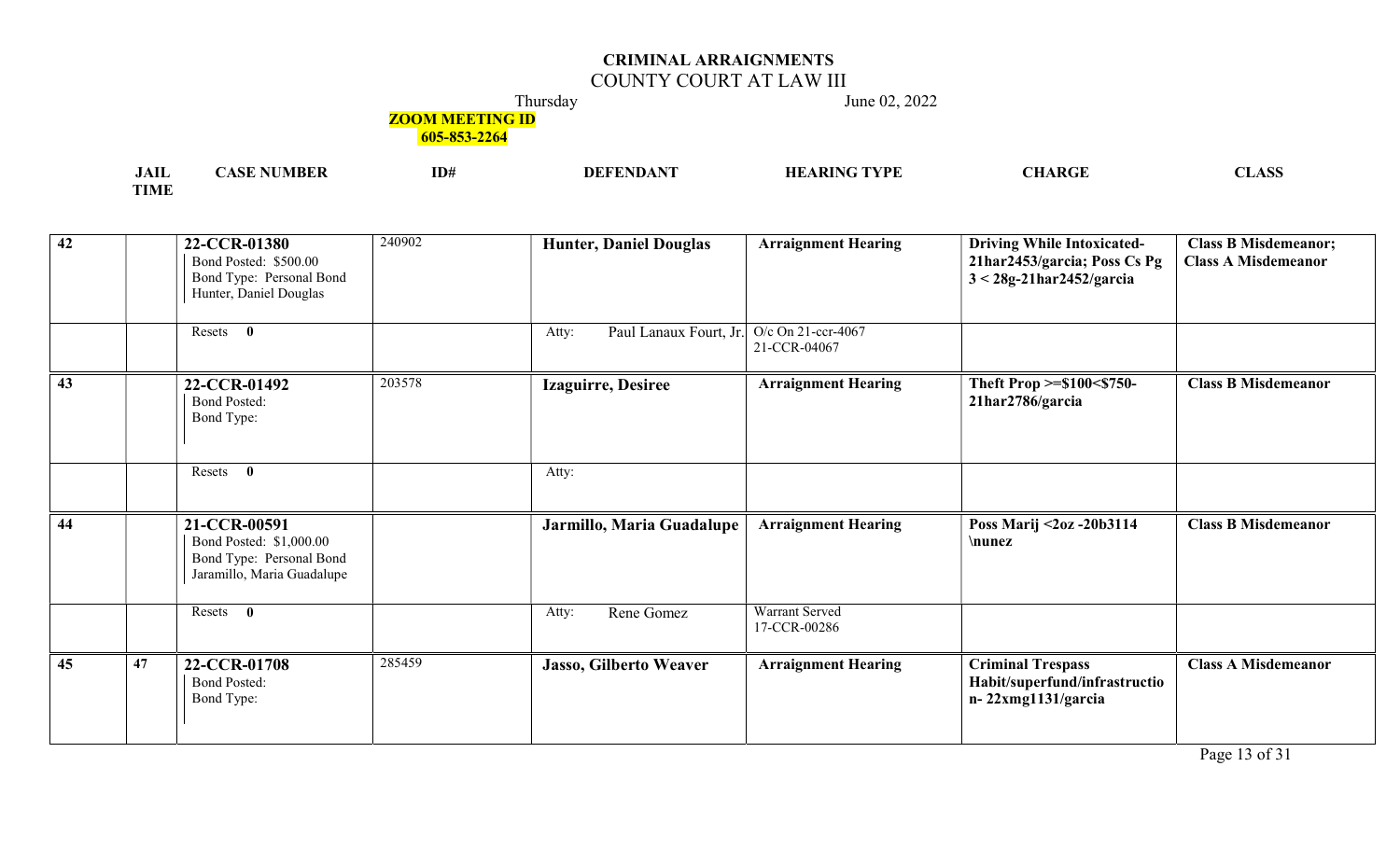## COUNTY COURT AT LAW III

Thursday June 02, 2022

## **ZOOM MEETING ID**

| <b>EA TT</b><br>JALL  | <b>TD</b><br>1D# | $\sqrt{2}$<br>DН<br>. | $\alpha$ tvpl<br>$\cdots$<br> | $\sim$<br>. LI NON |
|-----------------------|------------------|-----------------------|-------------------------------|--------------------|
| <b>TIME</b><br>IVI F. |                  |                       |                               |                    |

| $\overline{42}$ |    | 22-CCR-01380<br>Bond Posted: \$500.00<br>Bond Type: Personal Bond<br>Hunter, Daniel Douglas       | 240902 | <b>Hunter, Daniel Douglas</b>   | <b>Arraignment Hearing</b>         | <b>Driving While Intoxicated-</b><br>21har2453/garcia; Poss Cs Pg<br>$3 < 28g-21$ har $2452/g$ arcia | <b>Class B Misdemeanor;</b><br><b>Class A Misdemeanor</b> |
|-----------------|----|---------------------------------------------------------------------------------------------------|--------|---------------------------------|------------------------------------|------------------------------------------------------------------------------------------------------|-----------------------------------------------------------|
|                 |    | $\mathbf{0}$<br>Resets                                                                            |        | Paul Lanaux Fourt, Jr.<br>Atty: | O/c On 21-ccr-4067<br>21-CCR-04067 |                                                                                                      |                                                           |
| 43              |    | 22-CCR-01492<br><b>Bond Posted:</b><br>Bond Type:                                                 | 203578 | <b>Izaguirre, Desiree</b>       | <b>Arraignment Hearing</b>         | Theft Prop >=\$100<\$750-<br>21har2786/garcia                                                        | <b>Class B Misdemeanor</b>                                |
|                 |    | $\mathbf{0}$<br>Resets                                                                            |        | Atty:                           |                                    |                                                                                                      |                                                           |
| 44              |    | 21-CCR-00591<br>Bond Posted: \$1,000.00<br>Bond Type: Personal Bond<br>Jaramillo, Maria Guadalupe |        | Jarmillo, Maria Guadalupe       | <b>Arraignment Hearing</b>         | Poss Marij <2oz -20b3114<br>\nunez                                                                   | <b>Class B Misdemeanor</b>                                |
|                 |    | Resets 0                                                                                          |        | Rene Gomez<br>Atty:             | Warrant Served<br>17-CCR-00286     |                                                                                                      |                                                           |
| 45              | 47 | 22-CCR-01708<br><b>Bond Posted:</b><br>Bond Type:                                                 | 285459 | Jasso, Gilberto Weaver          | <b>Arraignment Hearing</b>         | <b>Criminal Trespass</b><br>Habit/superfund/infrastructio<br>n-22xmg1131/garcia                      | <b>Class A Misdemeanor</b>                                |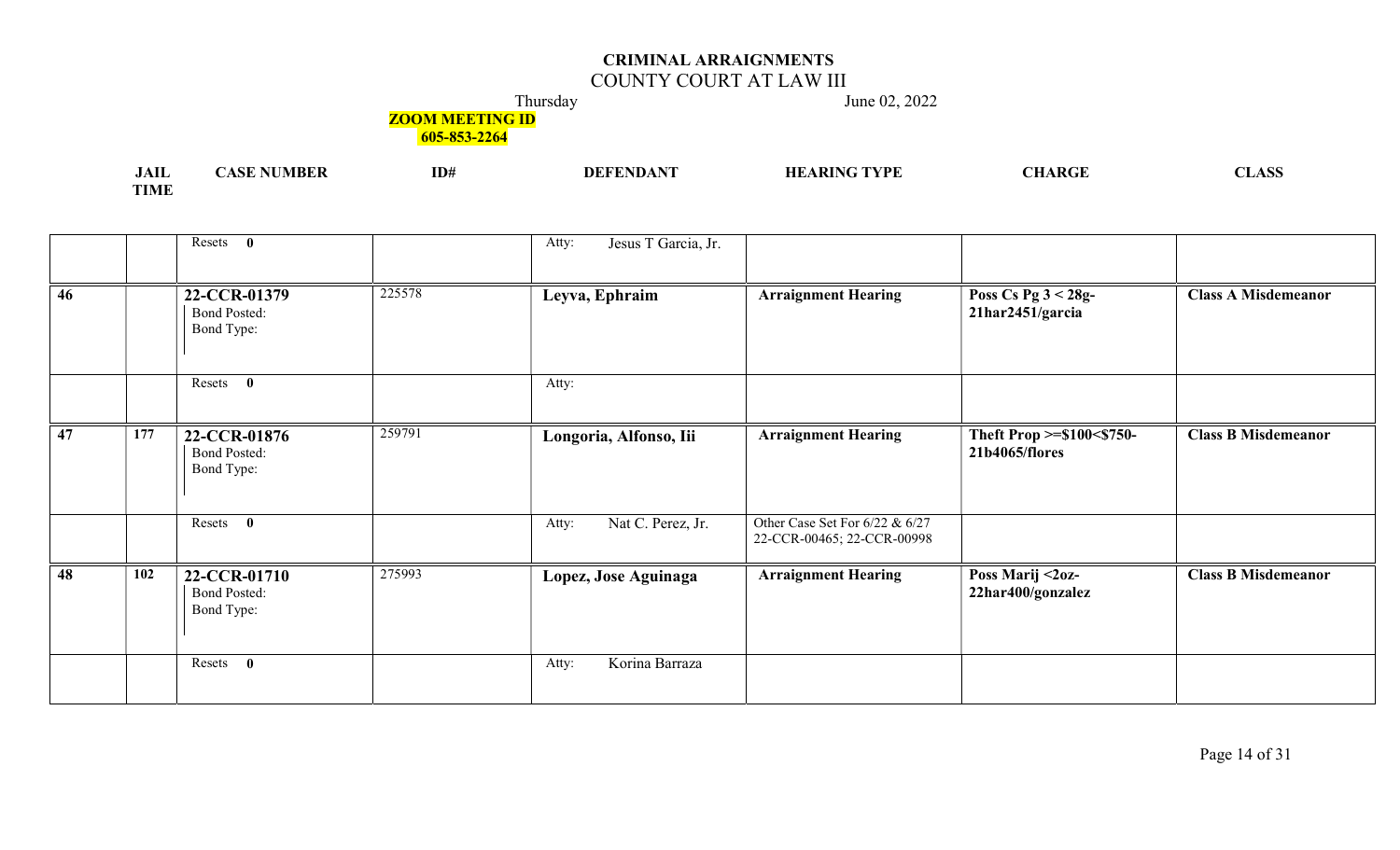# COUNTY COURT AT LAW III

Thursday June 02, 2022

## **ZOOM MEETING ID**

| .<br><b>UALL</b> | <b>MBEF</b><br>$\mathbf{C}$ T<br>w | ID# | <b>TRID.</b><br>DEF | ' TVDE | $\sim$ |
|------------------|------------------------------------|-----|---------------------|--------|--------|
| <b>TIME</b>      |                                    |     |                     |        |        |

|    |     | Resets 0                                                    | Jesus T Garcia, Jr.<br>Atty: |                                                              |                                             |                            |
|----|-----|-------------------------------------------------------------|------------------------------|--------------------------------------------------------------|---------------------------------------------|----------------------------|
| 46 |     | 225578<br>22-CCR-01379<br><b>Bond Posted:</b><br>Bond Type: | Leyva, Ephraim               | <b>Arraignment Hearing</b>                                   | Poss Cs Pg 3 < 28g-<br>21har2451/garcia     | <b>Class A Misdemeanor</b> |
|    |     | Resets 0                                                    | Atty:                        |                                                              |                                             |                            |
| 47 | 177 | 259791<br>22-CCR-01876<br><b>Bond Posted:</b><br>Bond Type: | Longoria, Alfonso, Iii       | <b>Arraignment Hearing</b>                                   | Theft Prop >=\$100<\$750-<br>21b4065/flores | <b>Class B Misdemeanor</b> |
|    |     | Resets 0                                                    | Nat C. Perez, Jr.<br>Atty:   | Other Case Set For 6/22 & 6/27<br>22-CCR-00465; 22-CCR-00998 |                                             |                            |
| 48 | 102 | 275993<br>22-CCR-01710<br><b>Bond Posted:</b><br>Bond Type: | Lopez, Jose Aguinaga         | <b>Arraignment Hearing</b>                                   | Poss Marij <2oz-<br>22har400/gonzalez       | <b>Class B Misdemeanor</b> |
|    |     | Resets<br>$\mathbf{0}$                                      | Korina Barraza<br>Atty:      |                                                              |                                             |                            |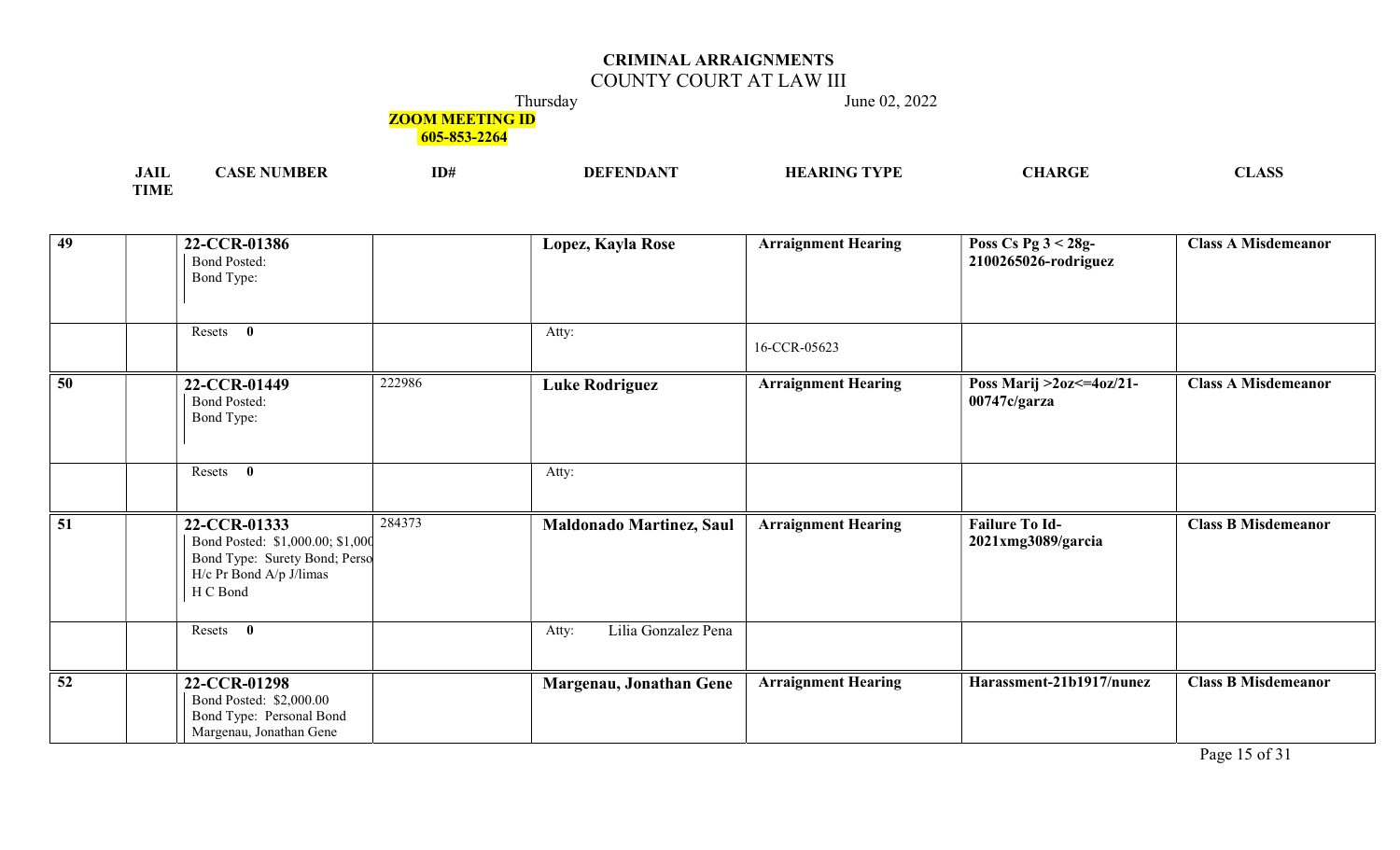# COUNTY COURT AT LAW III

Thursday June 02, 2022

## **ZOOM MEETING ID**

| .<br>JAIL        | -MBE.<br>. | ID# | ' <i>c</i> tvde<br>' DIN | $\boldsymbol{\mathsf{A}}$ $\mathbf{D} \boldsymbol{\mathsf{C}}$ | $\sqrt{2}$<br>אמעדות |
|------------------|------------|-----|--------------------------|----------------------------------------------------------------|----------------------|
| TIME<br>. LIVI D |            |     |                          |                                                                |                      |

| 49              | 22-CCR-01386<br><b>Bond Posted:</b><br>Bond Type:                                                                        | Lopez, Kayla Rose                         | <b>Arraignment Hearing</b> | Poss Cs Pg $3 < 28g$ -<br>2100265026-rodriguez | <b>Class A Misdemeanor</b> |
|-----------------|--------------------------------------------------------------------------------------------------------------------------|-------------------------------------------|----------------------------|------------------------------------------------|----------------------------|
|                 | Resets 0                                                                                                                 | Atty:                                     | 16-CCR-05623               |                                                |                            |
| $\overline{50}$ | 22-CCR-01449<br><b>Bond Posted:</b><br>Bond Type:                                                                        | 222986<br><b>Luke Rodriguez</b>           | <b>Arraignment Hearing</b> | Poss Marij > 20z <= $40z/21$ -<br>00747c/garza | <b>Class A Misdemeanor</b> |
|                 | Resets 0                                                                                                                 | Atty:                                     |                            |                                                |                            |
| $\overline{51}$ | 22-CCR-01333<br>Bond Posted: \$1,000.00; \$1,000<br>Bond Type: Surety Bond; Perso<br>H/c Pr Bond A/p J/limas<br>H C Bond | 284373<br><b>Maldonado Martinez, Saul</b> | <b>Arraignment Hearing</b> | <b>Failure To Id-</b><br>2021xmg3089/garcia    | <b>Class B Misdemeanor</b> |
|                 | Resets 0                                                                                                                 | Lilia Gonzalez Pena<br>Atty:              |                            |                                                |                            |
| $\overline{52}$ | 22-CCR-01298<br>Bond Posted: \$2,000.00<br>Bond Type: Personal Bond<br>Margenau, Jonathan Gene                           | Margenau, Jonathan Gene                   | <b>Arraignment Hearing</b> | Harassment-21b1917/nunez                       | <b>Class B Misdemeanor</b> |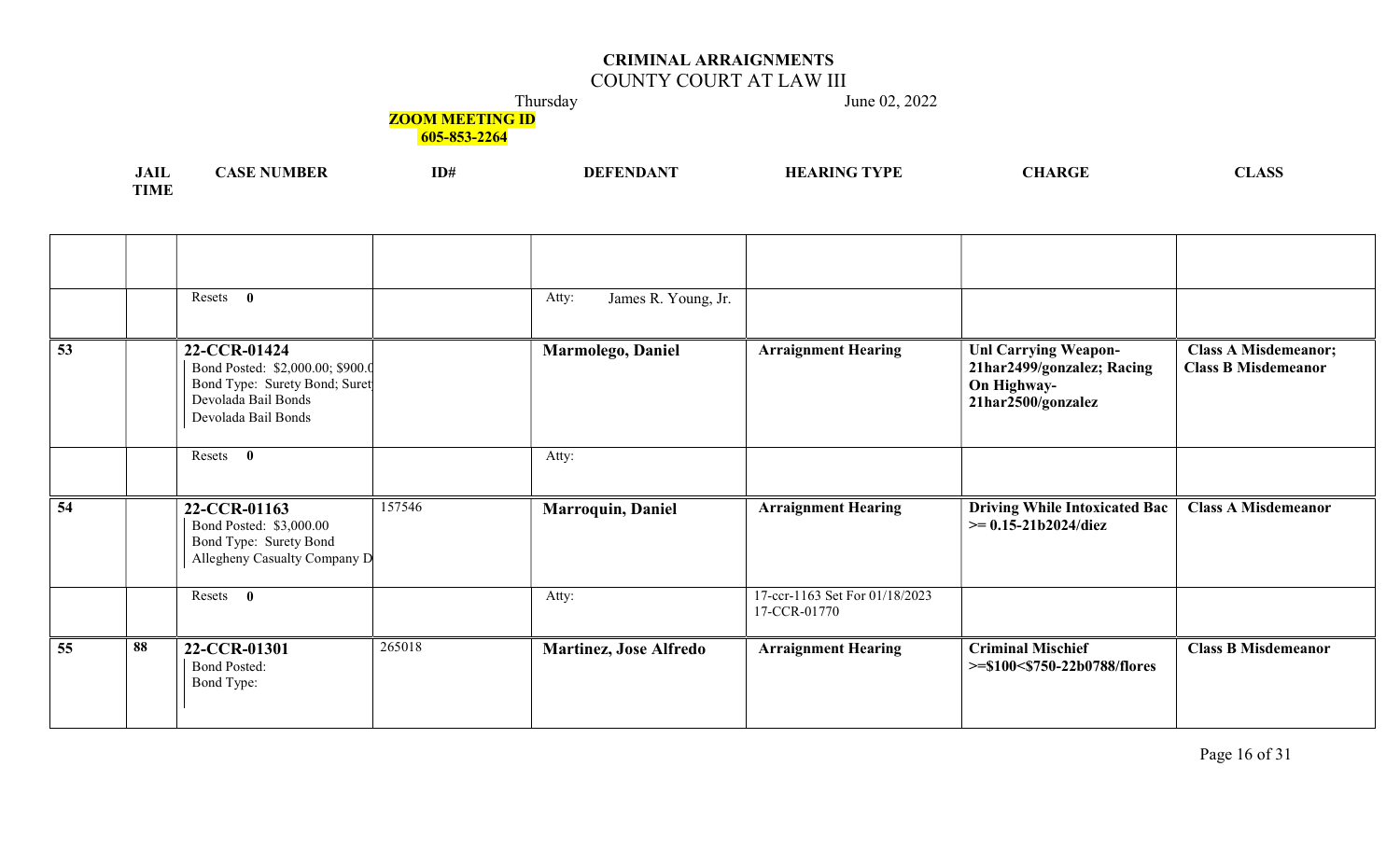## COUNTY COURT AT LAW III

Thursday June 02, 2022

# **ZOOM MEETING ID**

| <b>JAIL</b> | <b>ASE NUMBER</b> | ID# | DEFENDANT | <b>HEARING TYPE</b> | <b>CHARGE</b> | <b>CLASS</b>                                                                    |
|-------------|-------------------|-----|-----------|---------------------|---------------|---------------------------------------------------------------------------------|
|             |                   |     |           |                     |               | the contract of the contract of the contract of the contract of the contract of |
| <b>TIME</b> |                   |     |           |                     |               |                                                                                 |

|          | Resets $\mathbf{0}$                                                                                                             |        | James R. Young, Jr.<br>Atty:  |                                                |                                                                                                |                                                           |
|----------|---------------------------------------------------------------------------------------------------------------------------------|--------|-------------------------------|------------------------------------------------|------------------------------------------------------------------------------------------------|-----------------------------------------------------------|
| 53       | 22-CCR-01424<br>Bond Posted: \$2,000.00; \$900.0<br>Bond Type: Surety Bond; Suret<br>Devolada Bail Bonds<br>Devolada Bail Bonds |        | Marmolego, Daniel             | <b>Arraignment Hearing</b>                     | <b>Unl Carrying Weapon-</b><br>21har2499/gonzalez; Racing<br>On Highway-<br>21har2500/gonzalez | <b>Class A Misdemeanor;</b><br><b>Class B Misdemeanor</b> |
|          | Resets 0                                                                                                                        |        | Atty:                         |                                                |                                                                                                |                                                           |
| 54       | 22-CCR-01163<br>Bond Posted: \$3,000.00<br>Bond Type: Surety Bond<br>Allegheny Casualty Company D                               | 157546 | <b>Marroquin, Daniel</b>      | <b>Arraignment Hearing</b>                     | <b>Driving While Intoxicated Bac</b><br>$\ge$ = 0.15-21b2024/diez                              | <b>Class A Misdemeanor</b>                                |
|          | Resets 0                                                                                                                        |        | Atty:                         | 17-ccr-1163 Set For 01/18/2023<br>17-CCR-01770 |                                                                                                |                                                           |
| 55<br>88 | 22-CCR-01301<br><b>Bond Posted:</b><br>Bond Type:                                                                               | 265018 | <b>Martinez, Jose Alfredo</b> | <b>Arraignment Hearing</b>                     | <b>Criminal Mischief</b><br>>=\$100<\$750-22b0788/flores                                       | <b>Class B Misdemeanor</b>                                |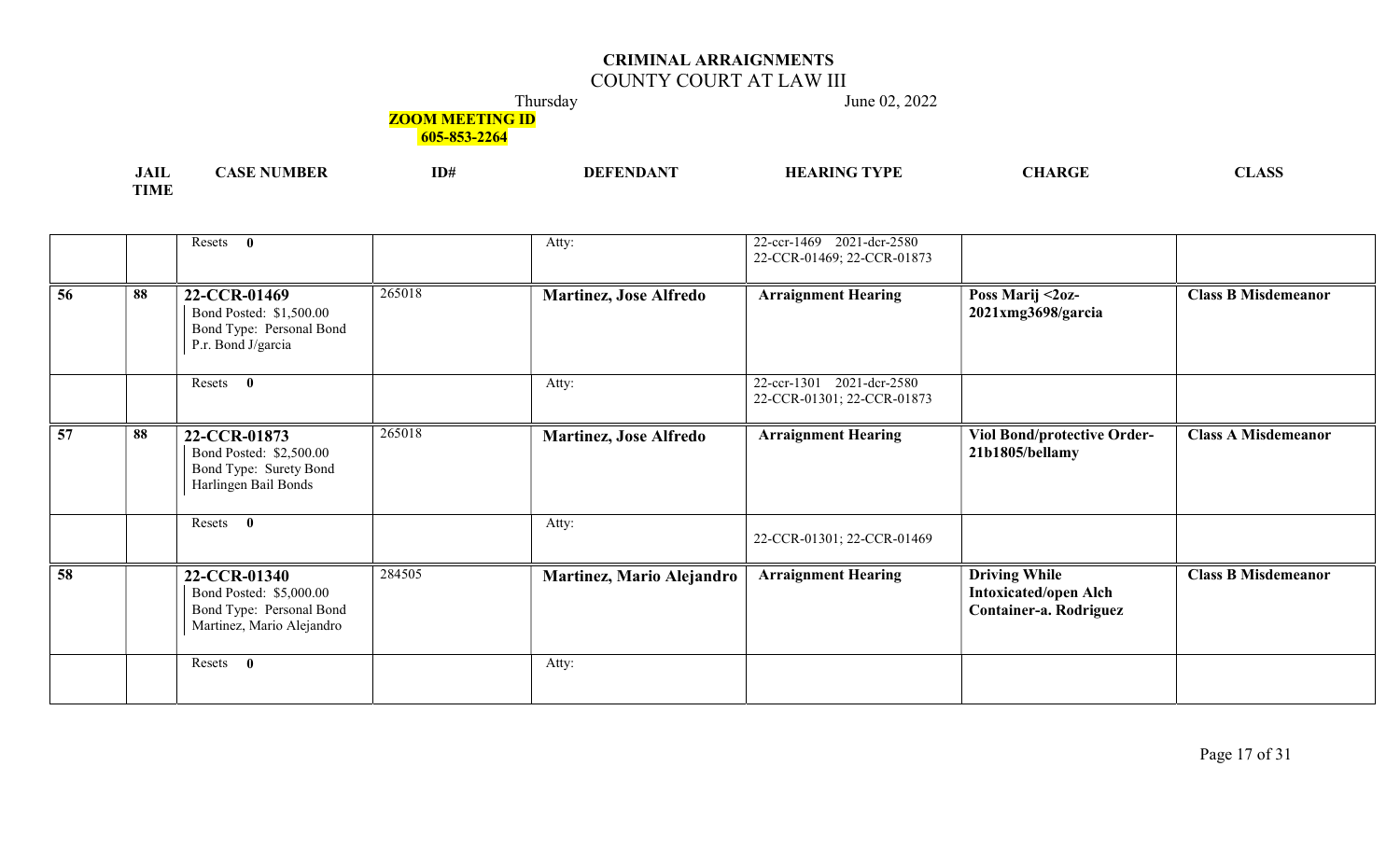## COUNTY COURT AT LAW III

Thursday June 02, 2022

## **ZOOM MEETING ID**

| $\sqrt{1}$<br>JAIL | VIBEI<br>$\Delta$ | TD.<br>1D# | <b>DEFT</b> | 'VPI | $^{\bullet}$ ARGE $^-$ | ACC<br>אמרעדי |
|--------------------|-------------------|------------|-------------|------|------------------------|---------------|
| <b>TIME</b>        |                   |            |             |      |                        |               |

|                 |    | Resets 0                                                                                         |        | Atty:                         | 22-ccr-1469 2021-dcr-2580<br>22-CCR-01469; 22-CCR-01873 |                                                                                |                            |
|-----------------|----|--------------------------------------------------------------------------------------------------|--------|-------------------------------|---------------------------------------------------------|--------------------------------------------------------------------------------|----------------------------|
| $\overline{56}$ | 88 | 22-CCR-01469<br>Bond Posted: \$1,500.00<br>Bond Type: Personal Bond<br>P.r. Bond J/garcia        | 265018 | <b>Martinez, Jose Alfredo</b> | <b>Arraignment Hearing</b>                              | Poss Marij <2oz-<br>$2021$ xmg $3698$ /garcia                                  | <b>Class B Misdemeanor</b> |
|                 |    | Resets 0                                                                                         |        | Atty:                         | 22-ccr-1301 2021-dcr-2580<br>22-CCR-01301; 22-CCR-01873 |                                                                                |                            |
| 57              | 88 | 22-CCR-01873<br>Bond Posted: \$2,500.00<br>Bond Type: Surety Bond<br>Harlingen Bail Bonds        | 265018 | <b>Martinez, Jose Alfredo</b> | <b>Arraignment Hearing</b>                              | <b>Viol Bond/protective Order-</b><br>21b1805/bellamy                          | <b>Class A Misdemeanor</b> |
|                 |    | Resets 0                                                                                         |        | Atty:                         | 22-CCR-01301; 22-CCR-01469                              |                                                                                |                            |
| $\overline{58}$ |    | 22-CCR-01340<br>Bond Posted: \$5,000.00<br>Bond Type: Personal Bond<br>Martinez, Mario Alejandro | 284505 | Martinez, Mario Alejandro     | <b>Arraignment Hearing</b>                              | <b>Driving While</b><br><b>Intoxicated/open Alch</b><br>Container-a. Rodriguez | <b>Class B Misdemeanor</b> |
|                 |    | $\mathbf{0}$<br>Resets                                                                           |        | Atty:                         |                                                         |                                                                                |                            |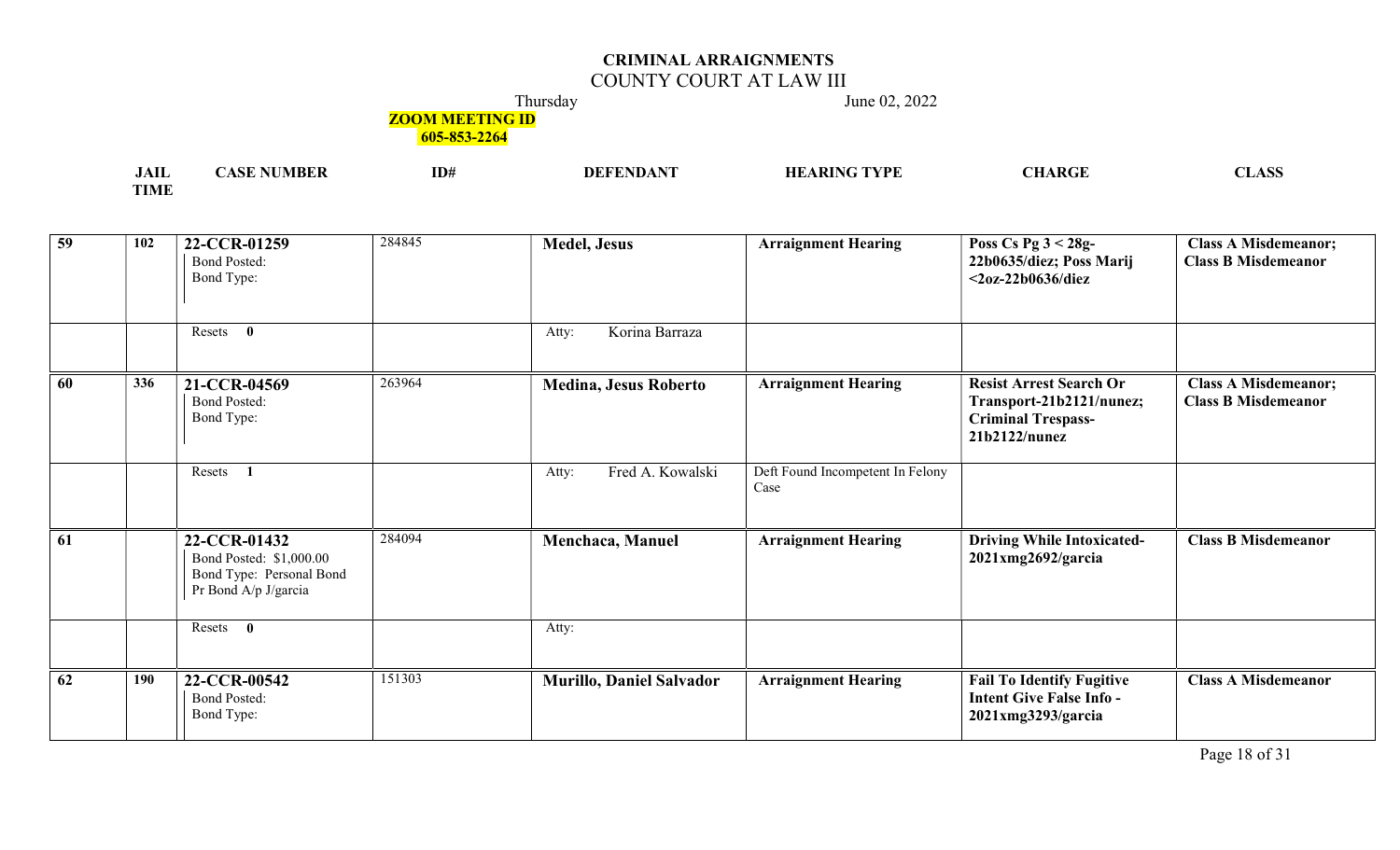## COUNTY COURT AT LAW III

Thursday June 02, 2022

## **ZOOM MEETING ID**

| .<br>JAIL   | ID# | I) H | IC TVPF<br>' DI\ | ARGF<br>יי | $\triangle$ $\triangle$<br>$\overline{L}$ |
|-------------|-----|------|------------------|------------|-------------------------------------------|
| <b>TIME</b> |     |      |                  |            |                                           |

| $\overline{59}$ | 102 | 22-CCR-01259<br><b>Bond Posted:</b><br>Bond Type:                                           | 284845 | <b>Medel, Jesus</b>             | <b>Arraignment Hearing</b>               | Poss Cs Pg $3 < 28g$ -<br>22b0635/diez; Poss Marij<br>$<$ 20z-22b0636/diez                               | <b>Class A Misdemeanor;</b><br><b>Class B Misdemeanor</b> |
|-----------------|-----|---------------------------------------------------------------------------------------------|--------|---------------------------------|------------------------------------------|----------------------------------------------------------------------------------------------------------|-----------------------------------------------------------|
|                 |     | Resets<br>$\bf{0}$                                                                          |        | Korina Barraza<br>Atty:         |                                          |                                                                                                          |                                                           |
| 60              | 336 | 21-CCR-04569<br><b>Bond Posted:</b><br>Bond Type:                                           | 263964 | <b>Medina, Jesus Roberto</b>    | <b>Arraignment Hearing</b>               | <b>Resist Arrest Search Or</b><br>Transport-21b2121/nunez;<br><b>Criminal Trespass-</b><br>21b2122/nunez | <b>Class A Misdemeanor;</b><br><b>Class B Misdemeanor</b> |
|                 |     | Resets                                                                                      |        | Fred A. Kowalski<br>Atty:       | Deft Found Incompetent In Felony<br>Case |                                                                                                          |                                                           |
| 61              |     | 22-CCR-01432<br>Bond Posted: \$1,000.00<br>Bond Type: Personal Bond<br>Pr Bond A/p J/garcia | 284094 | Menchaca, Manuel                | <b>Arraignment Hearing</b>               | <b>Driving While Intoxicated-</b><br>$2021$ xmg $2692$ /garcia                                           | <b>Class B Misdemeanor</b>                                |
|                 |     | $\bf{0}$<br>Resets                                                                          |        | Atty:                           |                                          |                                                                                                          |                                                           |
| 62              | 190 | 22-CCR-00542<br><b>Bond Posted:</b><br>Bond Type:                                           | 151303 | <b>Murillo, Daniel Salvador</b> | <b>Arraignment Hearing</b>               | <b>Fail To Identify Fugitive</b><br><b>Intent Give False Info-</b><br>2021xmg3293/garcia                 | <b>Class A Misdemeanor</b>                                |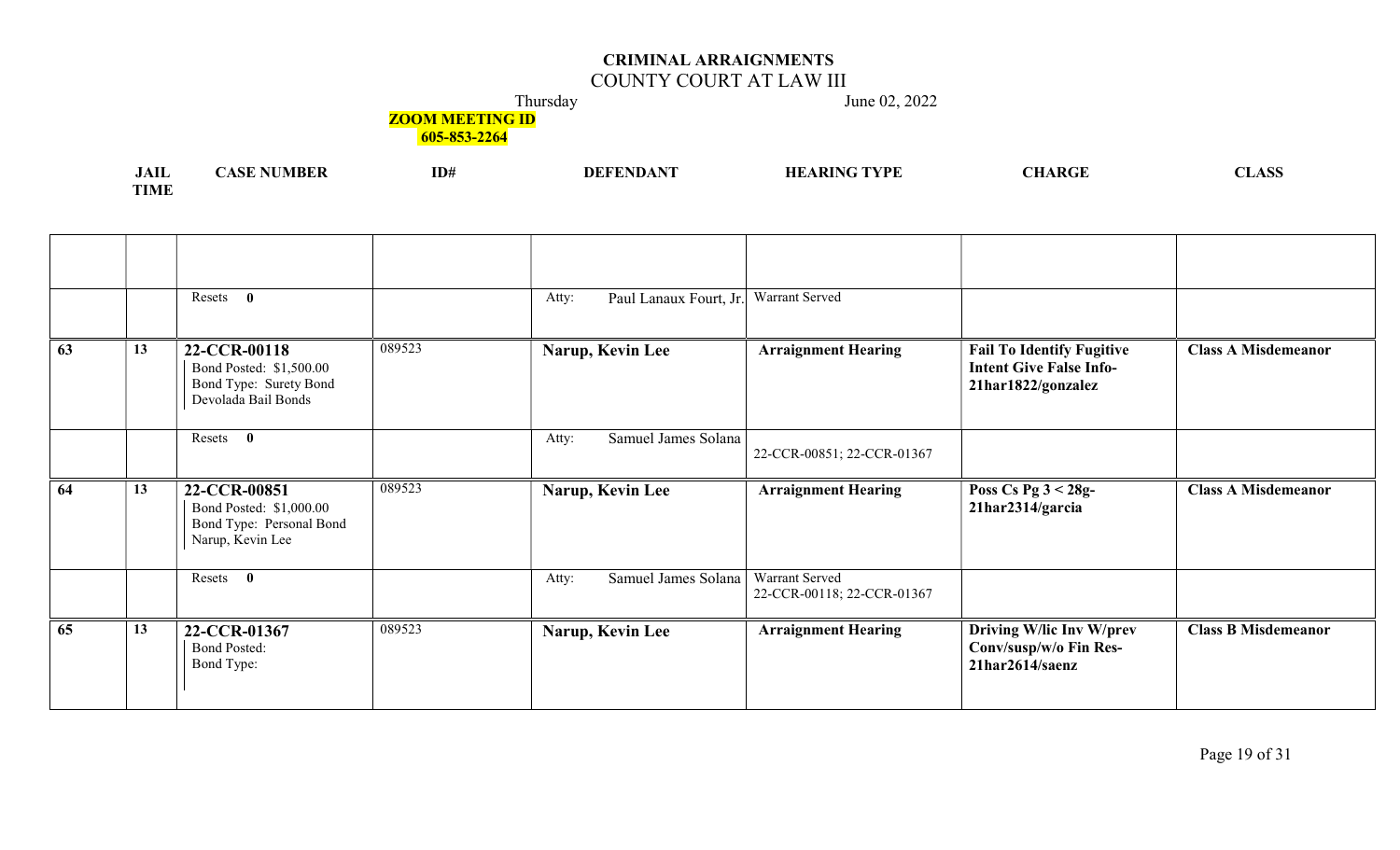## COUNTY COURT AT LAW III

Thursday June 02, 2022

**ZOOM MEETING ID** 

| <b>JAII</b> | <b>NUMBER</b><br>ASE 1 | ID# | <b>DEFENDANT</b> | <b>HEARING TYPE</b> | <b>CHARGE</b> | <b>CLASS</b> |
|-------------|------------------------|-----|------------------|---------------------|---------------|--------------|
| <b>TIME</b> |                        |     |                  |                     |               |              |

|    |    | Resets<br>$\mathbf{0}$                                                                   |        | Paul Lanaux Fourt, Jr.<br>Atty: | Warrant Served                               |                                                                                          |                            |
|----|----|------------------------------------------------------------------------------------------|--------|---------------------------------|----------------------------------------------|------------------------------------------------------------------------------------------|----------------------------|
| 63 | 13 | 22-CCR-00118<br>Bond Posted: \$1,500.00<br>Bond Type: Surety Bond<br>Devolada Bail Bonds | 089523 | Narup, Kevin Lee                | <b>Arraignment Hearing</b>                   | <b>Fail To Identify Fugitive</b><br><b>Intent Give False Info-</b><br>21har1822/gonzalez | <b>Class A Misdemeanor</b> |
|    |    | Resets<br>$\mathbf{0}$                                                                   |        | Samuel James Solana<br>Atty:    | 22-CCR-00851; 22-CCR-01367                   |                                                                                          |                            |
| 64 | 13 | 22-CCR-00851<br>Bond Posted: \$1,000.00<br>Bond Type: Personal Bond<br>Narup, Kevin Lee  | 089523 | Narup, Kevin Lee                | <b>Arraignment Hearing</b>                   | Poss Cs Pg $3 < 28g$ -<br>21har2314/garcia                                               | <b>Class A Misdemeanor</b> |
|    |    | Resets<br>$\bf{0}$                                                                       |        |                                 |                                              |                                                                                          |                            |
|    |    |                                                                                          |        | Samuel James Solana<br>Atty:    | Warrant Served<br>22-CCR-00118; 22-CCR-01367 |                                                                                          |                            |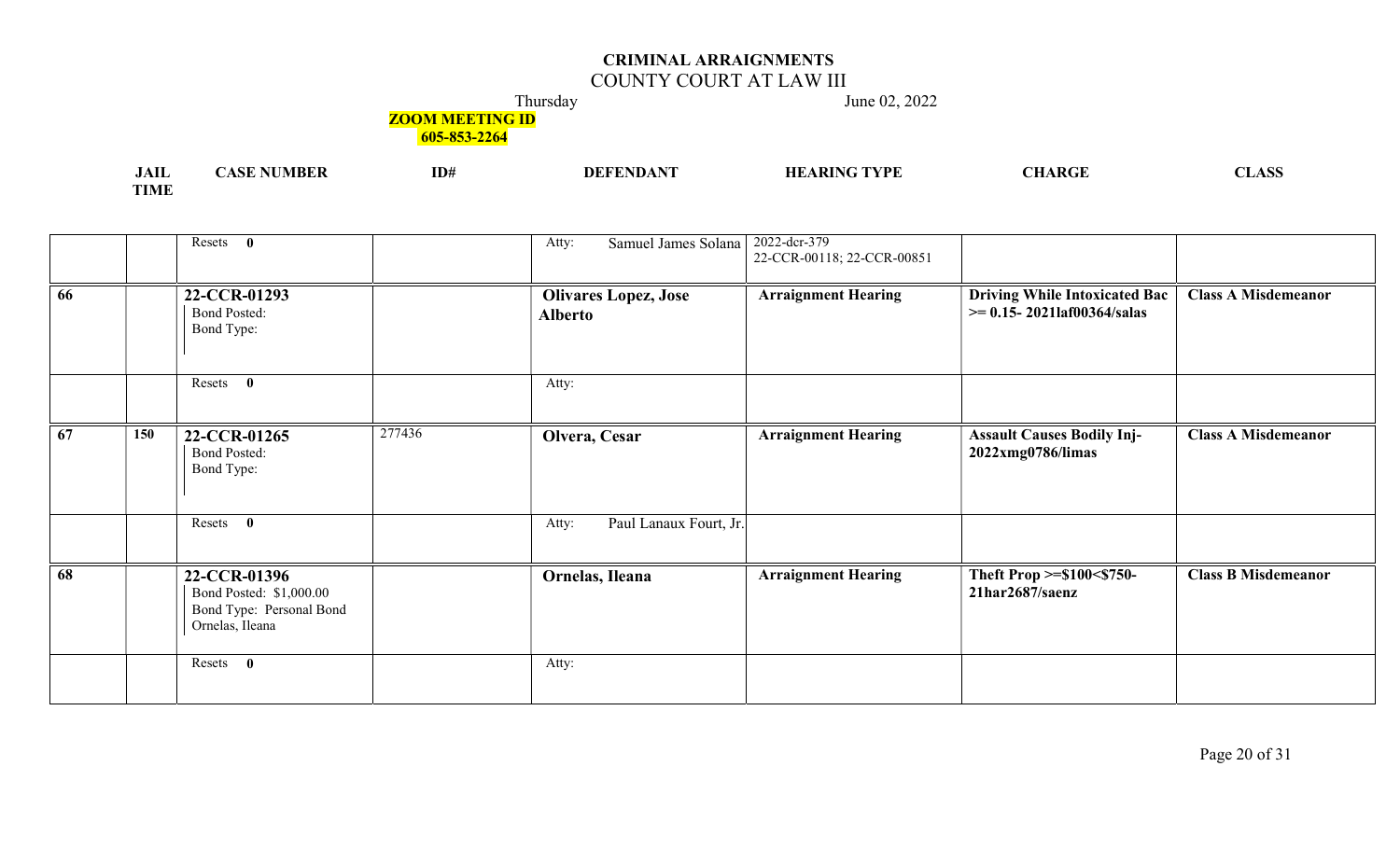## COUNTY COURT AT LAW III

Thursday June 02, 2022

**ZOOM MEETING ID** 

| .<br>JAIL   | MBEF | ID# | $\mathbf{v}$<br><b>DEFENDA</b> | ' TVDE<br>$\mathbf{M}$ | $\Lambda$ $\mathbf{R} C^{\mathsf{T}}$ | ^^^<br>LADD |
|-------------|------|-----|--------------------------------|------------------------|---------------------------------------|-------------|
| <b>TIME</b> |      |     |                                |                        |                                       |             |

|    |     | Resets 0                                                                               |        | Samuel James Solana<br>Atty:                  | 2022-dcr-379<br>22-CCR-00118; 22-CCR-00851 |                                                                         |                            |
|----|-----|----------------------------------------------------------------------------------------|--------|-----------------------------------------------|--------------------------------------------|-------------------------------------------------------------------------|----------------------------|
| 66 |     | 22-CCR-01293<br><b>Bond Posted:</b><br>Bond Type:                                      |        | <b>Olivares Lopez, Jose</b><br><b>Alberto</b> | <b>Arraignment Hearing</b>                 | <b>Driving While Intoxicated Bac</b><br>$\ge$ = 0.15-20211af00364/salas | <b>Class A Misdemeanor</b> |
|    |     | Resets 0                                                                               |        | Atty:                                         |                                            |                                                                         |                            |
| 67 | 150 | 22-CCR-01265<br><b>Bond Posted:</b><br>Bond Type:                                      | 277436 | Olvera, Cesar                                 | <b>Arraignment Hearing</b>                 | <b>Assault Causes Bodily Inj-</b><br>2022xmg0786/limas                  | <b>Class A Misdemeanor</b> |
|    |     | Resets 0                                                                               |        | Paul Lanaux Fourt, Jr.<br>Atty:               |                                            |                                                                         |                            |
| 68 |     | 22-CCR-01396<br>Bond Posted: \$1,000.00<br>Bond Type: Personal Bond<br>Ornelas, Ileana |        | Ornelas, Ileana                               | <b>Arraignment Hearing</b>                 | Theft Prop >=\$100<\$750-<br>21har2687/saenz                            | <b>Class B Misdemeanor</b> |
|    |     | Resets<br>$\bf{0}$                                                                     |        | Atty:                                         |                                            |                                                                         |                            |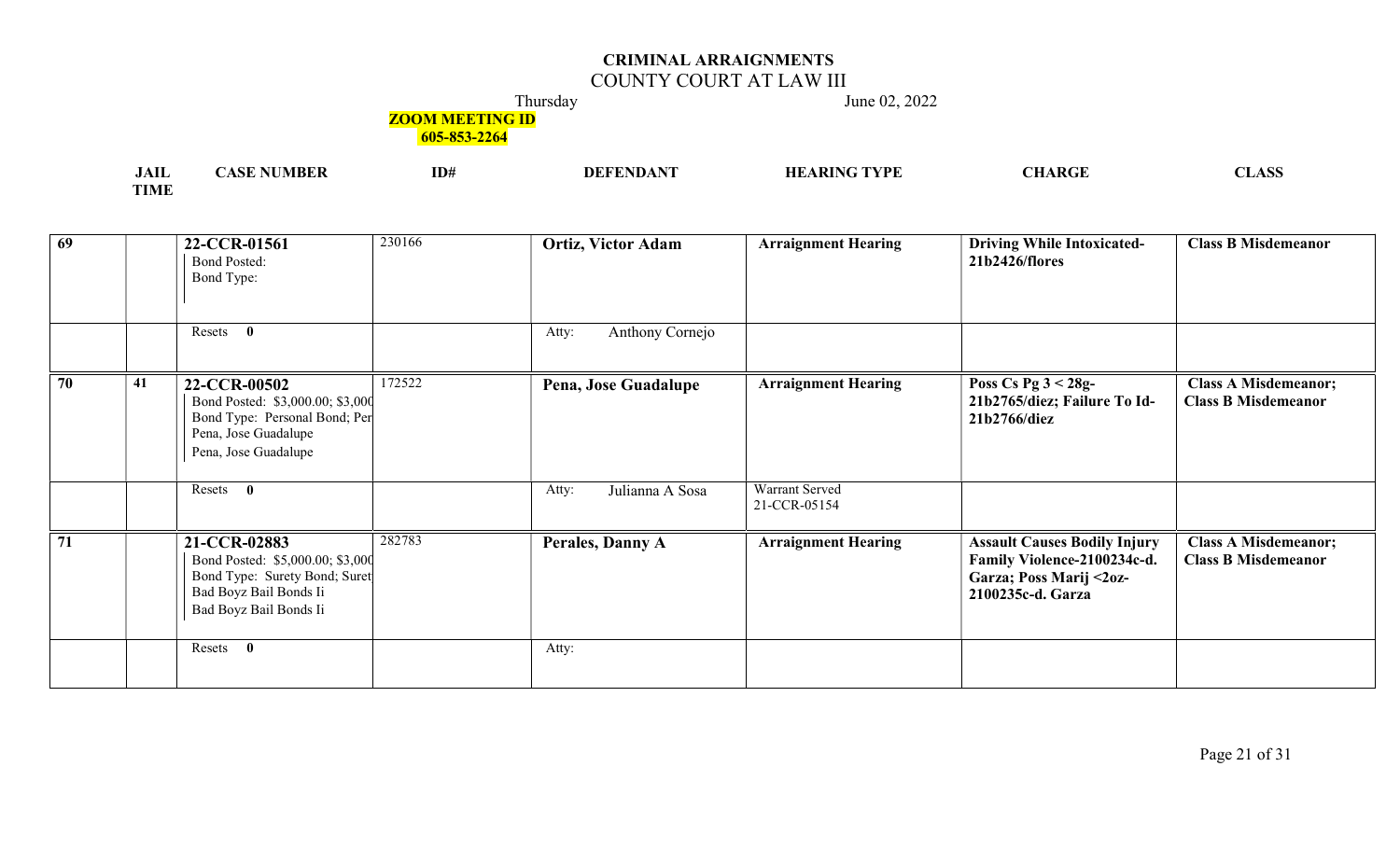## COUNTY COURT AT LAW III

Thursday June 02, 2022

## **ZOOM MEETING ID**

| $\cdot$ $\cdot$<br>JAIL | ID# | TVDL<br>НF | $\mathbf{L}$<br>'VIL | <b>NT</b><br>$\sim$<br>, LIANN |
|-------------------------|-----|------------|----------------------|--------------------------------|
| $T$ $T$ $T$ $T$         |     |            |                      |                                |

| 69              | 22-CCR-01561<br><b>Bond Posted:</b><br>Bond Type:                                                                                     | 230166 | <b>Ortiz, Victor Adam</b> | <b>Arraignment Hearing</b>     | <b>Driving While Intoxicated-</b><br>21b2426/flores                                                                | <b>Class B Misdemeanor</b>                                |
|-----------------|---------------------------------------------------------------------------------------------------------------------------------------|--------|---------------------------|--------------------------------|--------------------------------------------------------------------------------------------------------------------|-----------------------------------------------------------|
|                 | Resets 0                                                                                                                              |        | Anthony Cornejo<br>Atty:  |                                |                                                                                                                    |                                                           |
| 70<br>41        | 22-CCR-00502<br>Bond Posted: \$3,000.00; \$3,000<br>Bond Type: Personal Bond; Per<br>Pena, Jose Guadalupe<br>Pena, Jose Guadalupe     | 172522 | Pena, Jose Guadalupe      | <b>Arraignment Hearing</b>     | Poss Cs Pg $3 < 28g$ -<br>21b2765/diez; Failure To Id-<br>21b2766/diez                                             | <b>Class A Misdemeanor;</b><br><b>Class B Misdemeanor</b> |
|                 | Resets 0                                                                                                                              |        | Julianna A Sosa<br>Atty:  | Warrant Served<br>21-CCR-05154 |                                                                                                                    |                                                           |
| $\overline{71}$ | 21-CCR-02883<br>Bond Posted: \$5,000.00; \$3,000<br>Bond Type: Surety Bond; Suret<br>Bad Boyz Bail Bonds Ii<br>Bad Boyz Bail Bonds Ii | 282783 | Perales, Danny A          | <b>Arraignment Hearing</b>     | <b>Assault Causes Bodily Injury</b><br>Family Violence-2100234c-d.<br>Garza; Poss Marij <2oz-<br>2100235c-d. Garza | <b>Class A Misdemeanor;</b><br><b>Class B Misdemeanor</b> |
|                 | Resets 0                                                                                                                              |        | Atty:                     |                                |                                                                                                                    |                                                           |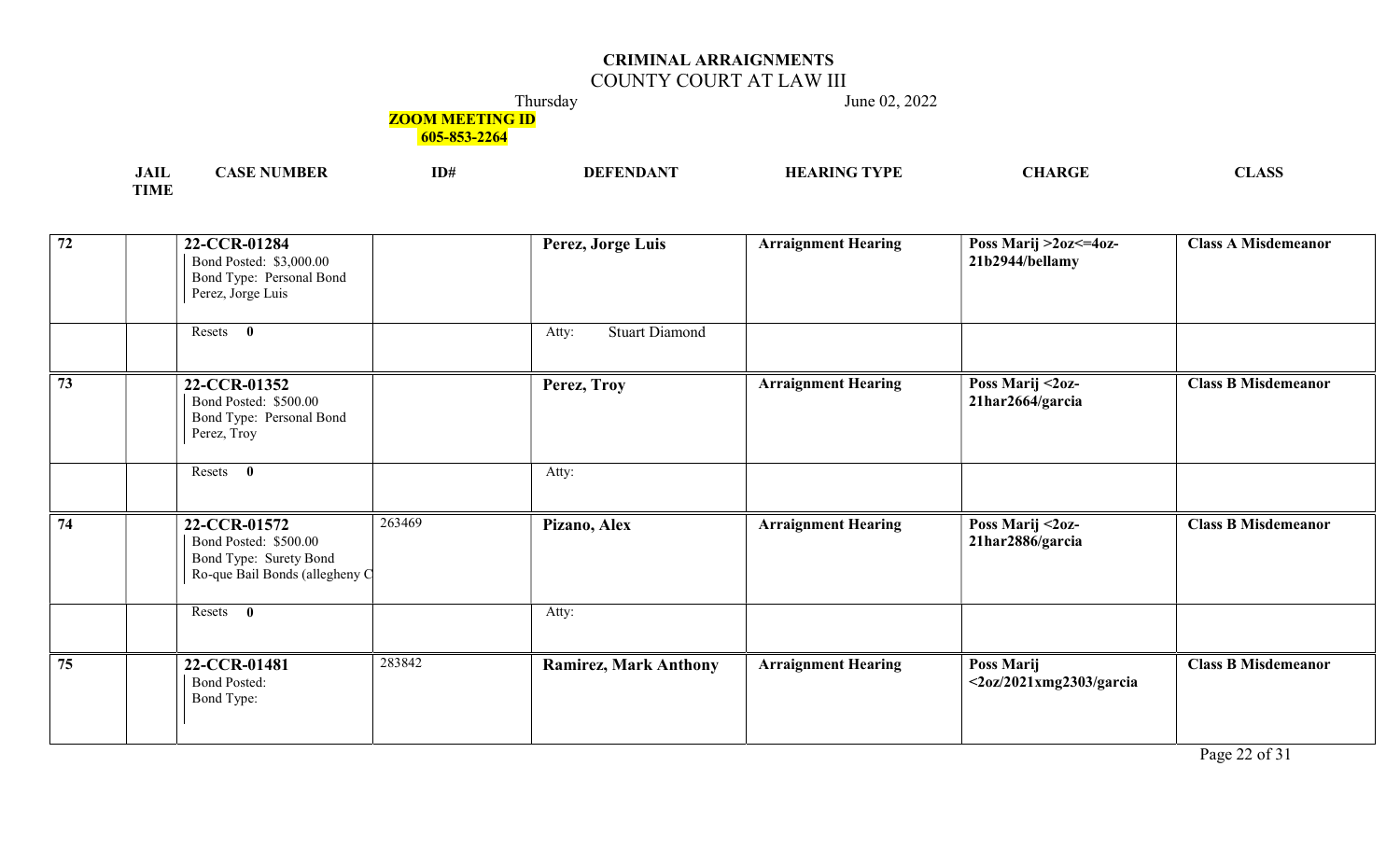## COUNTY COURT AT LAW III

Thursday June 02, 2022

**ZOOM MEETING ID** 

| $1 - 2$<br>лы         | VI IS F | ID# | 7PF. | I DA I<br>\N\TI | $\sqrt{2}$ |
|-----------------------|---------|-----|------|-----------------|------------|
| <b>TOTA CT</b><br>TMF |         |     |      |                 |            |

| $\boxed{72}$    | 22-CCR-01284<br>Bond Posted: \$3,000.00<br>Bond Type: Personal Bond<br>Perez, Jorge Luis                    | Perez, Jorge Luis              | <b>Arraignment Hearing</b> | Poss Marij >2oz<=4oz-<br>21b2944/bellamy               | <b>Class A Misdemeanor</b> |
|-----------------|-------------------------------------------------------------------------------------------------------------|--------------------------------|----------------------------|--------------------------------------------------------|----------------------------|
|                 | Resets 0                                                                                                    | <b>Stuart Diamond</b><br>Atty: |                            |                                                        |                            |
| $\overline{73}$ | 22-CCR-01352<br>Bond Posted: \$500.00<br>Bond Type: Personal Bond<br>Perez, Troy                            | Perez, Troy                    | <b>Arraignment Hearing</b> | Poss Marij <2oz-<br>21har2664/garcia                   | <b>Class B Misdemeanor</b> |
|                 | Resets 0                                                                                                    | Atty:                          |                            |                                                        |                            |
| 74              | 263469<br>22-CCR-01572<br>Bond Posted: \$500.00<br>Bond Type: Surety Bond<br>Ro-que Bail Bonds (allegheny C | Pizano, Alex                   | <b>Arraignment Hearing</b> | Poss Marij <2oz-<br>21har2886/garcia                   | <b>Class B Misdemeanor</b> |
|                 | Resets 0                                                                                                    | Atty:                          |                            |                                                        |                            |
| 75              | 283842<br>22-CCR-01481<br><b>Bond Posted:</b><br>Bond Type:                                                 | <b>Ramirez, Mark Anthony</b>   | <b>Arraignment Hearing</b> | Poss Marij<br>$\langle 20z/2021xmg2303/garcia \rangle$ | <b>Class B Misdemeanor</b> |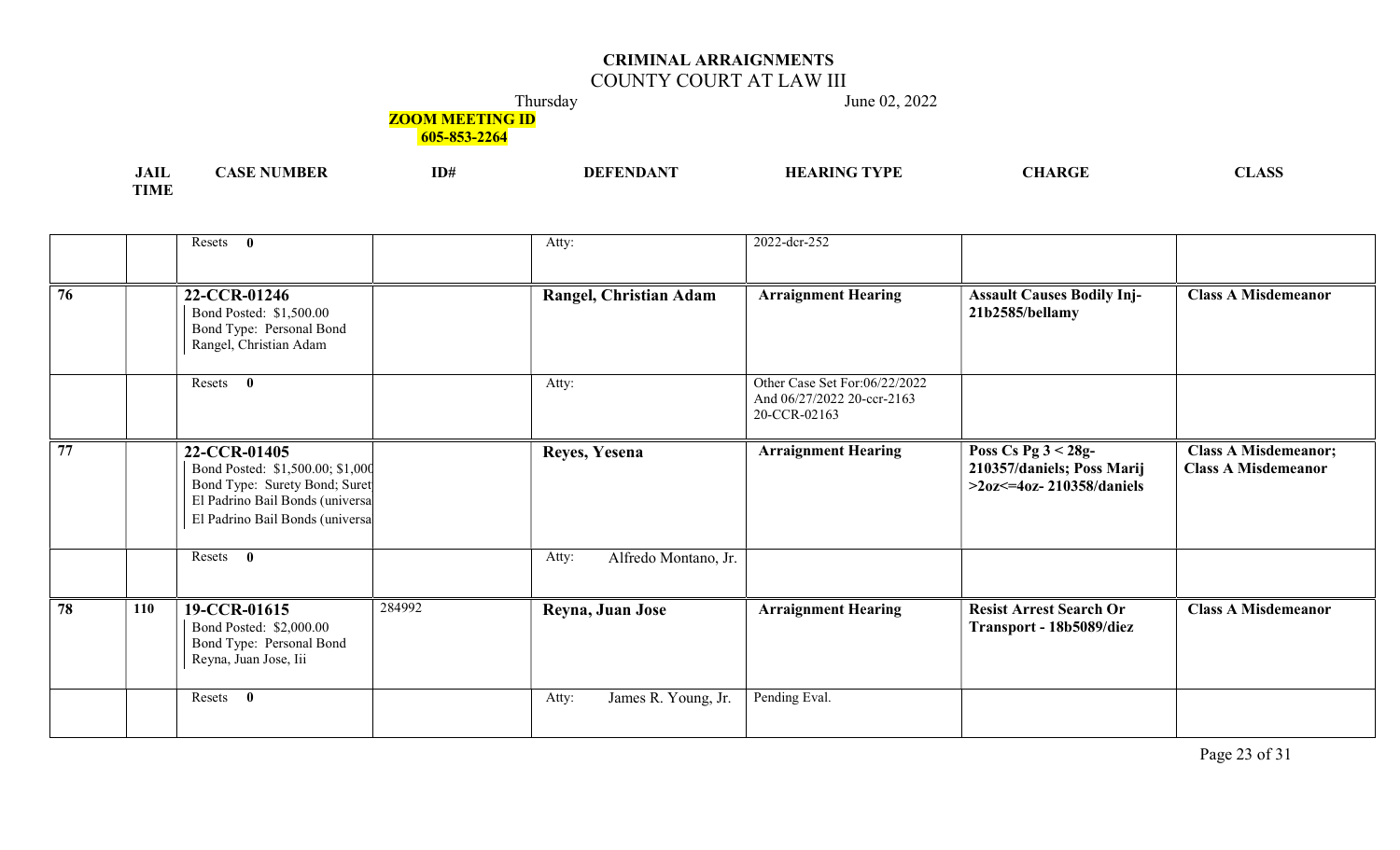## COUNTY COURT AT LAW III

Thursday June 02, 2022

**ZOOM MEETING ID** 

605-853-2264

| <b>JAIL</b>     | <b>ADE</b> | ID# | $\sim$ $\sim$ $\sim$ $\sim$<br>DEF | a tividi. | $\Lambda$ $\mathbf{R} C^{\tau}$ | $\sim$ |
|-----------------|------------|-----|------------------------------------|-----------|---------------------------------|--------|
| TIME<br>. LIVLE |            |     |                                    |           |                                 |        |

|                 | Resets 0                                                                                                                                                |        | Atty:                         | 2022-dcr-252                                                                |                                                                                    |                                                           |
|-----------------|---------------------------------------------------------------------------------------------------------------------------------------------------------|--------|-------------------------------|-----------------------------------------------------------------------------|------------------------------------------------------------------------------------|-----------------------------------------------------------|
| $\overline{76}$ | 22-CCR-01246<br>Bond Posted: \$1,500.00<br>Bond Type: Personal Bond<br>Rangel, Christian Adam                                                           |        | Rangel, Christian Adam        | <b>Arraignment Hearing</b>                                                  | <b>Assault Causes Bodily Inj-</b><br>21b2585/bellamy                               | <b>Class A Misdemeanor</b>                                |
|                 | Resets 0                                                                                                                                                |        | Atty:                         | Other Case Set For:06/22/2022<br>And 06/27/2022 20-ccr-2163<br>20-CCR-02163 |                                                                                    |                                                           |
| 77              | 22-CCR-01405<br>Bond Posted: \$1,500.00; \$1,000<br>Bond Type: Surety Bond; Suret<br>El Padrino Bail Bonds (universa<br>El Padrino Bail Bonds (universa |        | Reyes, Yesena                 | <b>Arraignment Hearing</b>                                                  | Poss Cs Pg $3 < 28g$ -<br>210357/daniels; Poss Marij<br>$>20z102 - 210358/daniels$ | <b>Class A Misdemeanor;</b><br><b>Class A Misdemeanor</b> |
|                 | Resets 0                                                                                                                                                |        | Alfredo Montano, Jr.<br>Atty: |                                                                             |                                                                                    |                                                           |
| 78              | 19-CCR-01615<br>110<br>Bond Posted: \$2,000.00<br>Bond Type: Personal Bond<br>Reyna, Juan Jose, Iii                                                     | 284992 | Reyna, Juan Jose              | <b>Arraignment Hearing</b>                                                  | <b>Resist Arrest Search Or</b><br>Transport - 18b5089/diez                         | <b>Class A Misdemeanor</b>                                |
|                 | Resets 0                                                                                                                                                |        | James R. Young, Jr.<br>Atty:  | Pending Eval.                                                               |                                                                                    |                                                           |

Page 23 of 31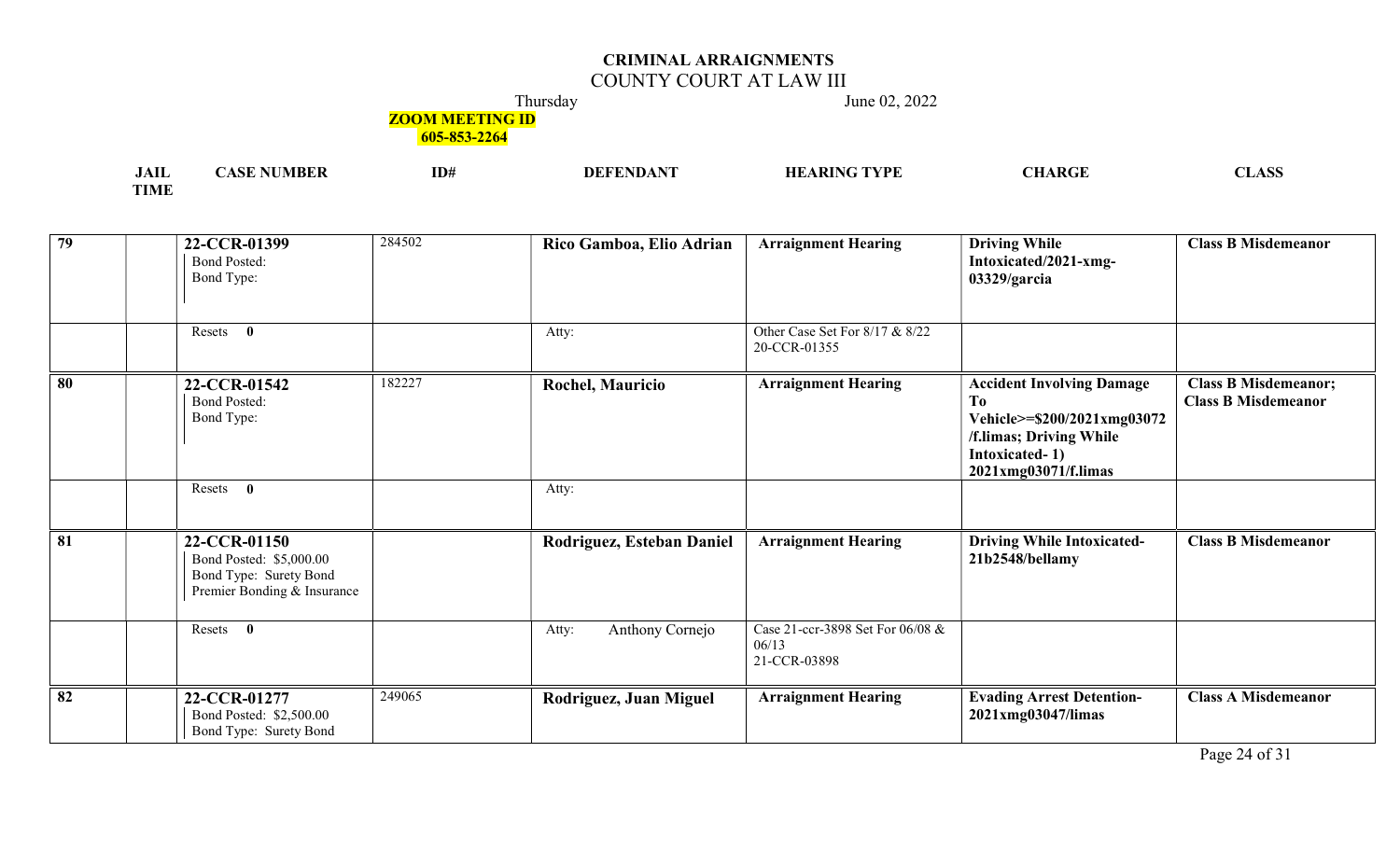# COUNTY COURT AT LAW III

Thursday June 02, 2022

## **ZOOM MEETING ID**

| .<br>JAIL   | 3 D | ID# | FVDI<br>п,<br>۱Л | ~-<br>$\sim$<br>, LIAN |
|-------------|-----|-----|------------------|------------------------|
| <b>TIME</b> |     |     |                  |                        |

| $\overline{79}$ | 22-CCR-01399<br><b>Bond Posted:</b><br>Bond Type:                                                | 284502 | Rico Gamboa, Elio Adrian  | <b>Arraignment Hearing</b>                                | <b>Driving While</b><br>Intoxicated/2021-xmg-<br>03329/garcia                                                                              | <b>Class B Misdemeanor</b>                                |
|-----------------|--------------------------------------------------------------------------------------------------|--------|---------------------------|-----------------------------------------------------------|--------------------------------------------------------------------------------------------------------------------------------------------|-----------------------------------------------------------|
|                 | $\mathbf{0}$<br>Resets                                                                           |        | Atty:                     | Other Case Set For 8/17 & 8/22<br>20-CCR-01355            |                                                                                                                                            |                                                           |
| $\overline{80}$ | 22-CCR-01542<br><b>Bond Posted:</b><br>Bond Type:                                                | 182227 | <b>Rochel, Mauricio</b>   | <b>Arraignment Hearing</b>                                | <b>Accident Involving Damage</b><br>To<br>Vehicle>=\$200/2021xmg03072<br>/f.limas; Driving While<br>Intoxicated-1)<br>2021xmg03071/f.limas | <b>Class B Misdemeanor;</b><br><b>Class B Misdemeanor</b> |
|                 | $\bf{0}$<br>Resets                                                                               |        | Atty:                     |                                                           |                                                                                                                                            |                                                           |
| $\overline{81}$ | 22-CCR-01150<br>Bond Posted: \$5,000.00<br>Bond Type: Surety Bond<br>Premier Bonding & Insurance |        | Rodriguez, Esteban Daniel | <b>Arraignment Hearing</b>                                | <b>Driving While Intoxicated-</b><br>21b2548/bellamy                                                                                       | <b>Class B Misdemeanor</b>                                |
|                 | $\bf{0}$<br>Resets                                                                               |        | Anthony Cornejo<br>Atty:  | Case 21-ccr-3898 Set For 06/08 &<br>06/13<br>21-CCR-03898 |                                                                                                                                            |                                                           |
| 82              | 22-CCR-01277<br>Bond Posted: \$2,500.00<br>Bond Type: Surety Bond                                | 249065 | Rodriguez, Juan Miguel    | <b>Arraignment Hearing</b>                                | <b>Evading Arrest Detention-</b><br>2021xmg03047/limas                                                                                     | <b>Class A Misdemeanor</b>                                |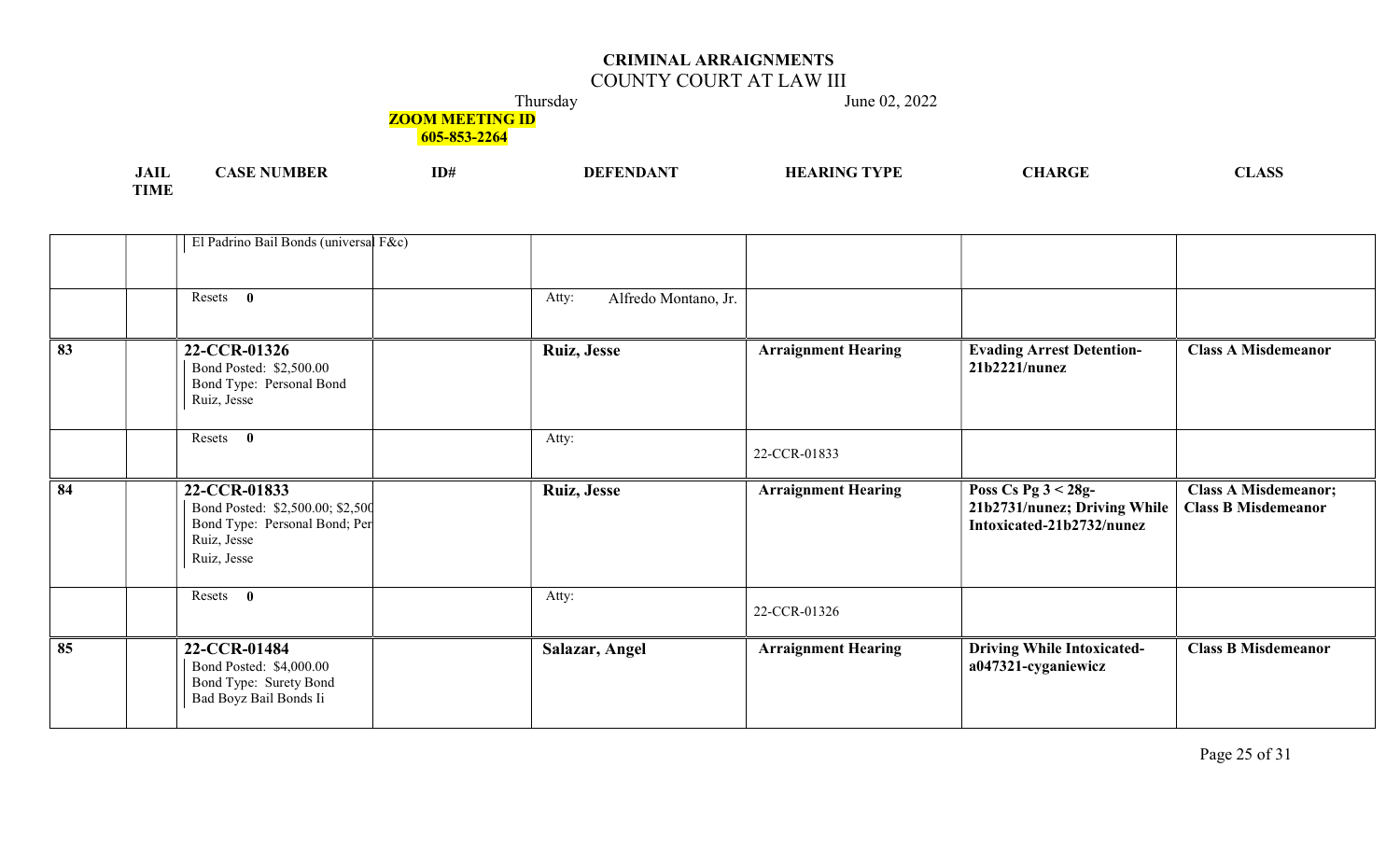## COUNTY COURT AT LAW III

Thursday June 02, 2022

# **ZOOM MEETING ID**

| .<br>JAIL              | MBF | ID# | A DIN | RC | w |
|------------------------|-----|-----|-------|----|---|
| <b>TOTA CT</b><br>TIME |     |     |       |    |   |

|                 | El Padrino Bail Bonds (universal F&c)                                                                           |                               |                            |                                                                                     |                                                           |
|-----------------|-----------------------------------------------------------------------------------------------------------------|-------------------------------|----------------------------|-------------------------------------------------------------------------------------|-----------------------------------------------------------|
|                 |                                                                                                                 |                               |                            |                                                                                     |                                                           |
|                 | Resets $\mathbf{0}$                                                                                             | Alfredo Montano, Jr.<br>Atty: |                            |                                                                                     |                                                           |
|                 |                                                                                                                 |                               |                            |                                                                                     |                                                           |
| 83              | 22-CCR-01326<br>Bond Posted: \$2,500.00<br>Bond Type: Personal Bond<br>Ruiz, Jesse                              | <b>Ruiz, Jesse</b>            | <b>Arraignment Hearing</b> | <b>Evading Arrest Detention-</b><br>21b2221/numez                                   | <b>Class A Misdemeanor</b>                                |
|                 | Resets 0                                                                                                        | Atty:                         | 22-CCR-01833               |                                                                                     |                                                           |
| $\overline{84}$ | 22-CCR-01833<br>Bond Posted: \$2,500.00; \$2,500<br>Bond Type: Personal Bond; Per<br>Ruiz, Jesse<br>Ruiz, Jesse | <b>Ruiz, Jesse</b>            | <b>Arraignment Hearing</b> | Poss Cs Pg $3 < 28g$ -<br>21b2731/nunez; Driving While<br>Intoxicated-21b2732/nunez | <b>Class A Misdemeanor;</b><br><b>Class B Misdemeanor</b> |
|                 | Resets 0                                                                                                        | Atty:                         | 22-CCR-01326               |                                                                                     |                                                           |
| 85              | 22-CCR-01484<br>Bond Posted: \$4,000.00<br>Bond Type: Surety Bond                                               | Salazar, Angel                | <b>Arraignment Hearing</b> | <b>Driving While Intoxicated-</b><br>a047321-cyganiewicz                            | <b>Class B Misdemeanor</b>                                |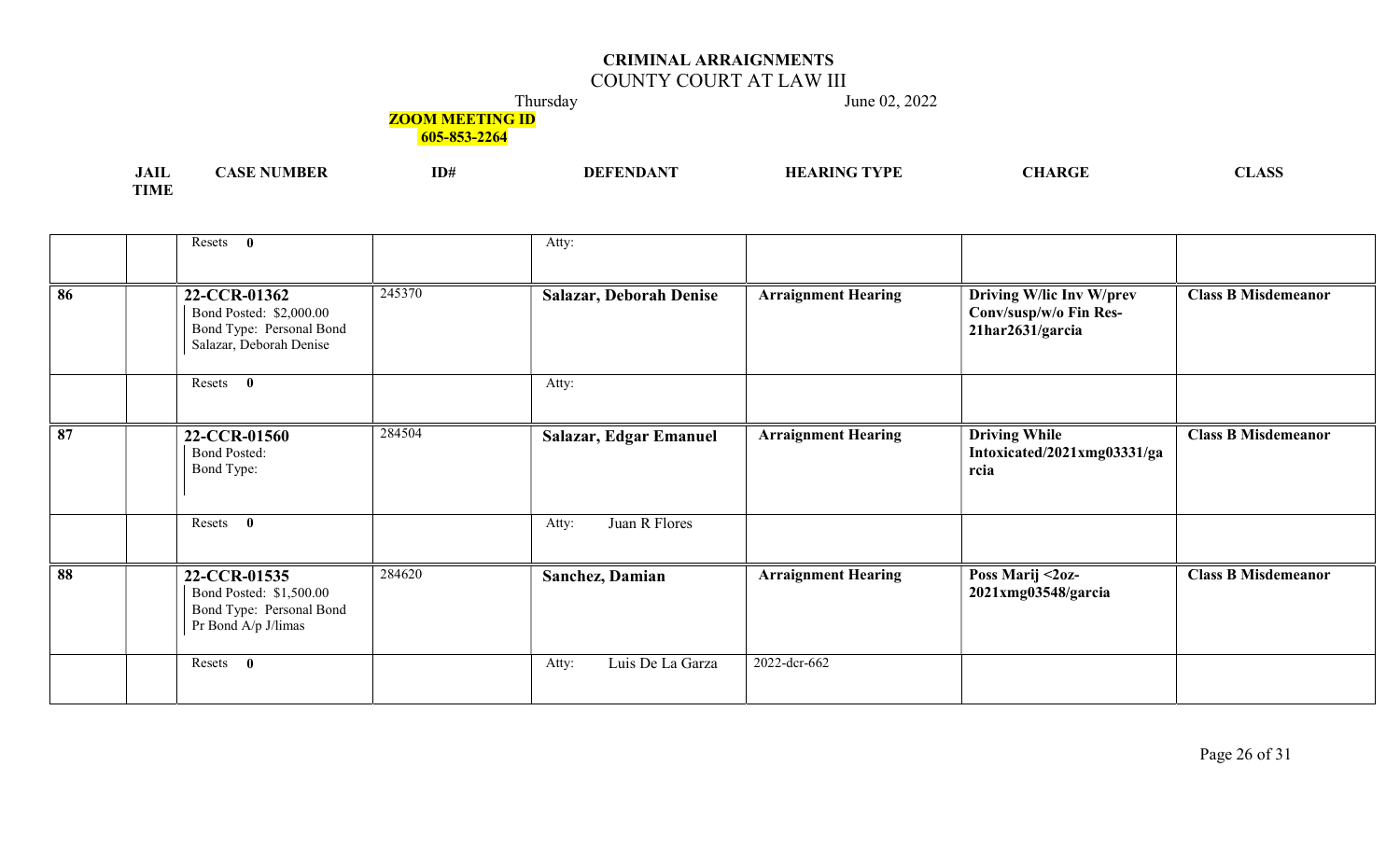## COUNTY COURT AT LAW III

Thursday June 02, 2022

# **ZOOM MEETING ID**

| .<br>JAIL   | 'ASE NUMBER | ID <sup>#</sup> | <b>DEFENDANT</b> | <b>HEARING</b><br>TYPE | <b>HARGE</b> | 71 Y C<br>ADI |
|-------------|-------------|-----------------|------------------|------------------------|--------------|---------------|
| <b>TIME</b> |             |                 |                  |                        |              |               |

|    | Resets 0                                                                                                 | Atty:                          |                            |                                                                        |                            |
|----|----------------------------------------------------------------------------------------------------------|--------------------------------|----------------------------|------------------------------------------------------------------------|----------------------------|
| 86 | 245370<br>22-CCR-01362<br>Bond Posted: \$2,000.00<br>Bond Type: Personal Bond<br>Salazar, Deborah Denise | <b>Salazar, Deborah Denise</b> | <b>Arraignment Hearing</b> | Driving W/lic Inv W/prev<br>Conv/susp/w/o Fin Res-<br>21har2631/garcia | <b>Class B Misdemeanor</b> |
|    | Resets 0                                                                                                 | Atty:                          |                            |                                                                        |                            |
| 87 | 284504<br>22-CCR-01560<br><b>Bond Posted:</b><br>Bond Type:                                              | Salazar, Edgar Emanuel         | <b>Arraignment Hearing</b> | <b>Driving While</b><br>Intoxicated/2021xmg03331/ga<br>rcia            | <b>Class B Misdemeanor</b> |
|    | Resets 0                                                                                                 | Juan R Flores<br>Atty:         |                            |                                                                        |                            |
| 88 | 284620<br>22-CCR-01535<br>Bond Posted: \$1,500.00<br>Bond Type: Personal Bond<br>Pr Bond A/p J/limas     | Sanchez, Damian                | <b>Arraignment Hearing</b> | Poss Marij <2oz-<br>2021xmg03548/garcia                                | <b>Class B Misdemeanor</b> |
|    | Resets<br>$\bf{0}$                                                                                       | Luis De La Garza<br>Atty:      | 2022-dcr-662               |                                                                        |                            |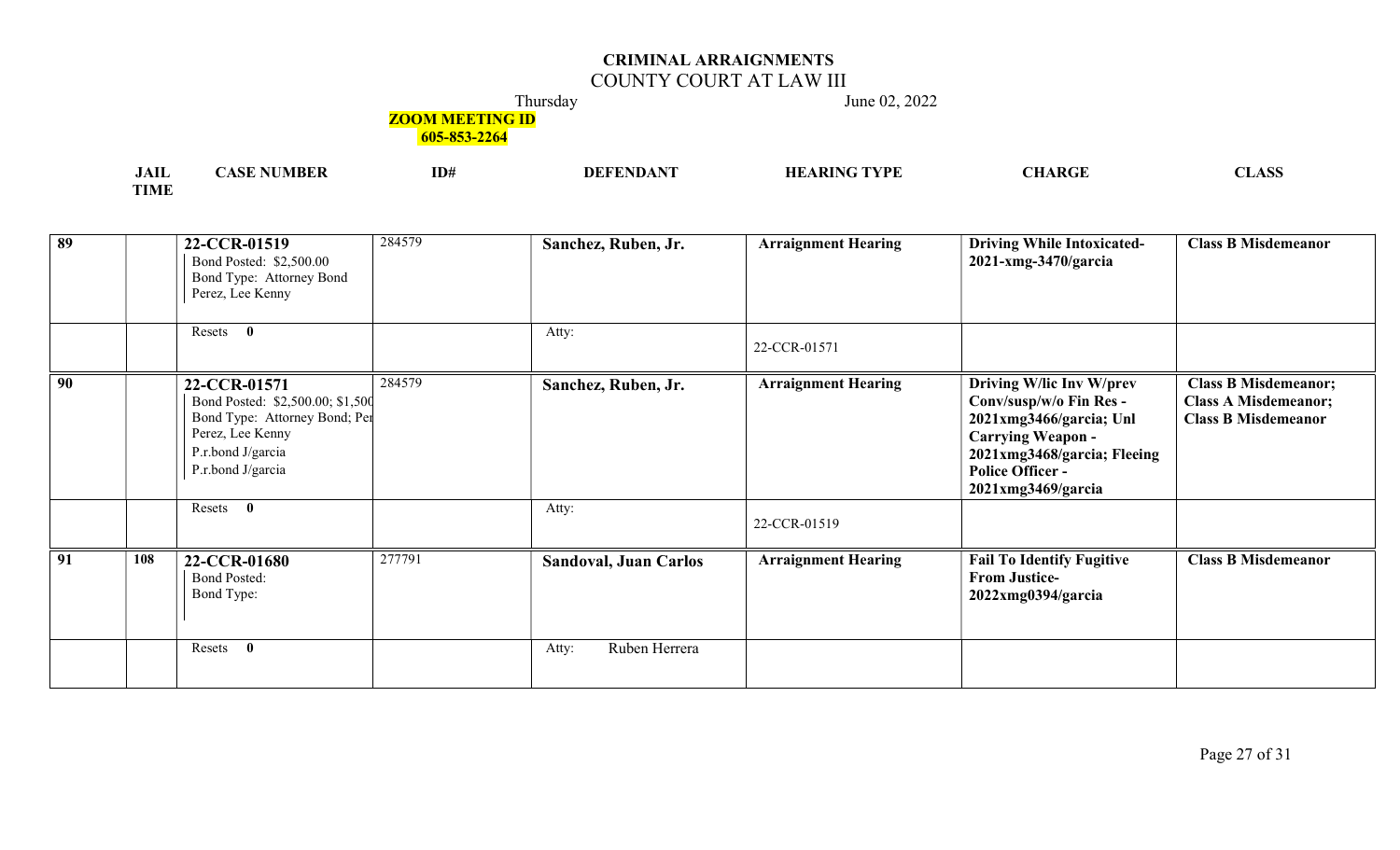## COUNTY COURT AT LAW III

Thursday June 02, 2022

## **ZOOM MEETING ID**

| <b>JAII</b> | ASE NUMBER! | ID# | <b>DEFENDANT</b> | 'ARING TYPE<br>HВ | <b>CHARGE</b> | <b>CLASS</b> |
|-------------|-------------|-----|------------------|-------------------|---------------|--------------|
| <b>TIME</b> |             |     |                  |                   |               |              |

| $\overline{89}$ |     | 22-CCR-01519<br>Bond Posted: \$2,500.00<br>Bond Type: Attorney Bond<br>Perez, Lee Kenny                                                         | 284579 | Sanchez, Ruben, Jr.          | <b>Arraignment Hearing</b> | <b>Driving While Intoxicated-</b><br>2021-xmg-3470/garcia                                                                                                                                         | <b>Class B Misdemeanor</b>                                                               |
|-----------------|-----|-------------------------------------------------------------------------------------------------------------------------------------------------|--------|------------------------------|----------------------------|---------------------------------------------------------------------------------------------------------------------------------------------------------------------------------------------------|------------------------------------------------------------------------------------------|
|                 |     | Resets 0                                                                                                                                        |        | Atty:                        | 22-CCR-01571               |                                                                                                                                                                                                   |                                                                                          |
| 90              |     | 22-CCR-01571<br>Bond Posted: \$2,500.00; \$1,500<br>Bond Type: Attorney Bond; Per<br>Perez, Lee Kenny<br>P.r.bond J/garcia<br>P.r.bond J/garcia | 284579 | Sanchez, Ruben, Jr.          | <b>Arraignment Hearing</b> | Driving W/lic Inv W/prev<br>Conv/susp/w/o Fin Res -<br>2021xmg3466/garcia; Unl<br><b>Carrying Weapon -</b><br>2021xmg3468/garcia; Fleeing<br><b>Police Officer -</b><br>$2021$ xmg $3469$ /garcia | <b>Class B Misdemeanor;</b><br><b>Class A Misdemeanor;</b><br><b>Class B Misdemeanor</b> |
|                 |     | Resets 0                                                                                                                                        |        | Atty:                        | 22-CCR-01519               |                                                                                                                                                                                                   |                                                                                          |
| $\boxed{91}$    | 108 | 22-CCR-01680<br><b>Bond Posted:</b><br>Bond Type:                                                                                               | 277791 | <b>Sandoval, Juan Carlos</b> | <b>Arraignment Hearing</b> | <b>Fail To Identify Fugitive</b><br><b>From Justice-</b><br>$2022$ xmg $0394$ /garcia                                                                                                             | <b>Class B Misdemeanor</b>                                                               |
|                 |     | $\mathbf{0}$<br>Resets                                                                                                                          |        | Ruben Herrera<br>Atty:       |                            |                                                                                                                                                                                                   |                                                                                          |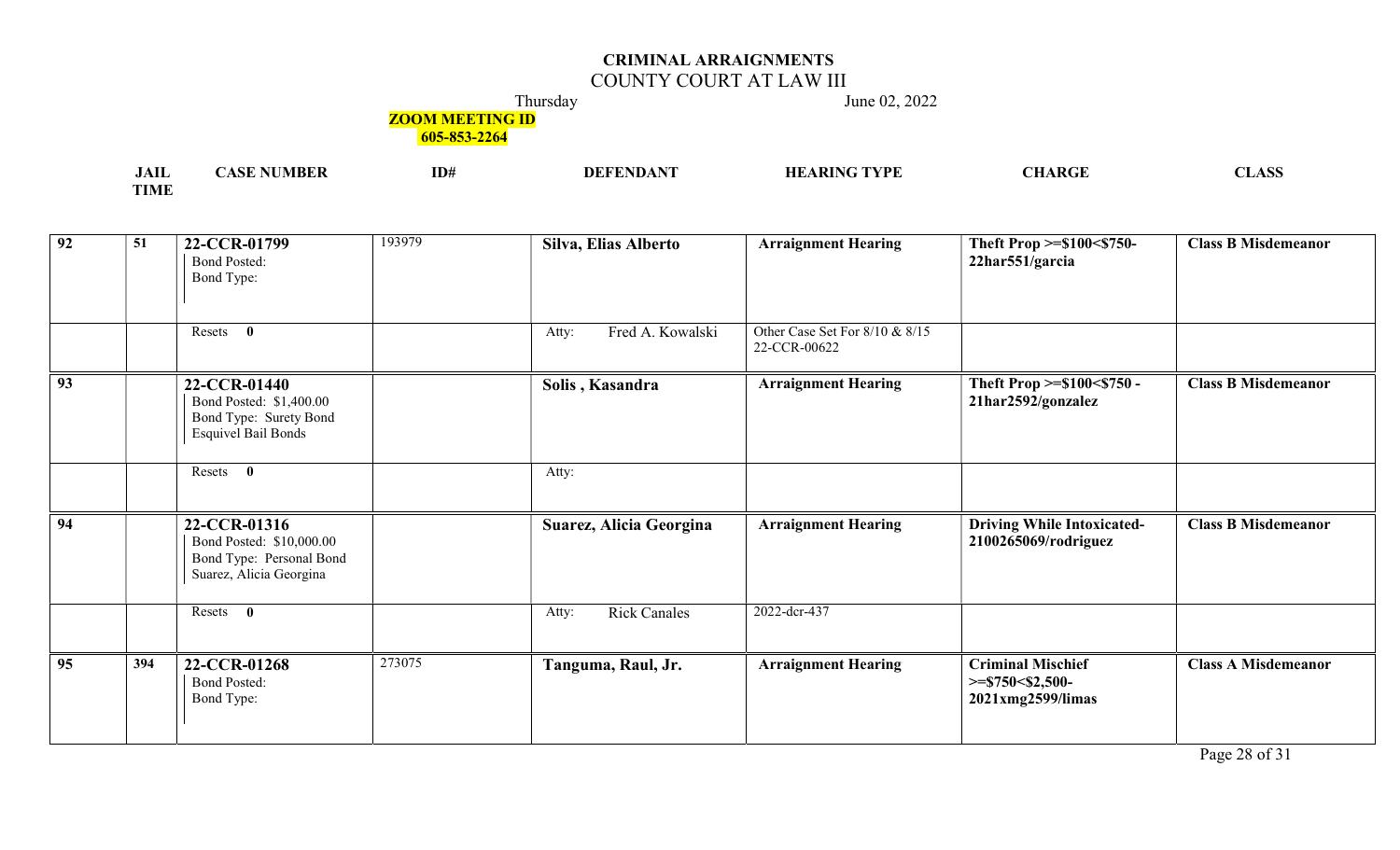## COUNTY COURT AT LAW III

Thursday June 02, 2022

## **ZOOM MEETING ID**

605-853-2264

| $\cdot$ $\cdot$<br>JAIL | ID# | TVDL<br>НF | $\mathbf{L}$<br>'VIL | <b>NT</b><br>$\sim$<br>, LIANN |
|-------------------------|-----|------------|----------------------|--------------------------------|
| $T$ $T$ $T$ $T$         |     |            |                      |                                |

| $\sqrt{92}$     | 51  | 22-CCR-01799<br><b>Bond Posted:</b><br>Bond Type:                                               | 193979 | Silva, Elias Alberto         | <b>Arraignment Hearing</b>                     | Theft Prop >=\$100<\$750-<br>22har551/garcia                         | <b>Class B Misdemeanor</b> |
|-----------------|-----|-------------------------------------------------------------------------------------------------|--------|------------------------------|------------------------------------------------|----------------------------------------------------------------------|----------------------------|
|                 |     | $\mathbf{0}$<br>Resets                                                                          |        | Fred A. Kowalski<br>Atty:    | Other Case Set For 8/10 & 8/15<br>22-CCR-00622 |                                                                      |                            |
| $\overline{93}$ |     | 22-CCR-01440<br>Bond Posted: \$1,400.00<br>Bond Type: Surety Bond<br><b>Esquivel Bail Bonds</b> |        | Solis, Kasandra              | <b>Arraignment Hearing</b>                     | Theft Prop >=\$100<\$750 -<br>21har2592/gonzalez                     | <b>Class B Misdemeanor</b> |
|                 |     | $\bf{0}$<br>Resets                                                                              |        | Atty:                        |                                                |                                                                      |                            |
| $\overline{94}$ |     | 22-CCR-01316<br>Bond Posted: \$10,000.00<br>Bond Type: Personal Bond<br>Suarez, Alicia Georgina |        | Suarez, Alicia Georgina      | <b>Arraignment Hearing</b>                     | <b>Driving While Intoxicated-</b><br>2100265069/rodriguez            | <b>Class B Misdemeanor</b> |
|                 |     | Resets 0                                                                                        |        | <b>Rick Canales</b><br>Atty: | 2022-dcr-437                                   |                                                                      |                            |
| $\overline{95}$ | 394 | 22-CCR-01268<br><b>Bond Posted:</b><br>Bond Type:                                               | 273075 | Tanguma, Raul, Jr.           | <b>Arraignment Hearing</b>                     | <b>Criminal Mischief</b><br>$>=$ \$750<\$2,500-<br>2021xmg2599/limas | <b>Class A Misdemeanor</b> |

Page 28 of 31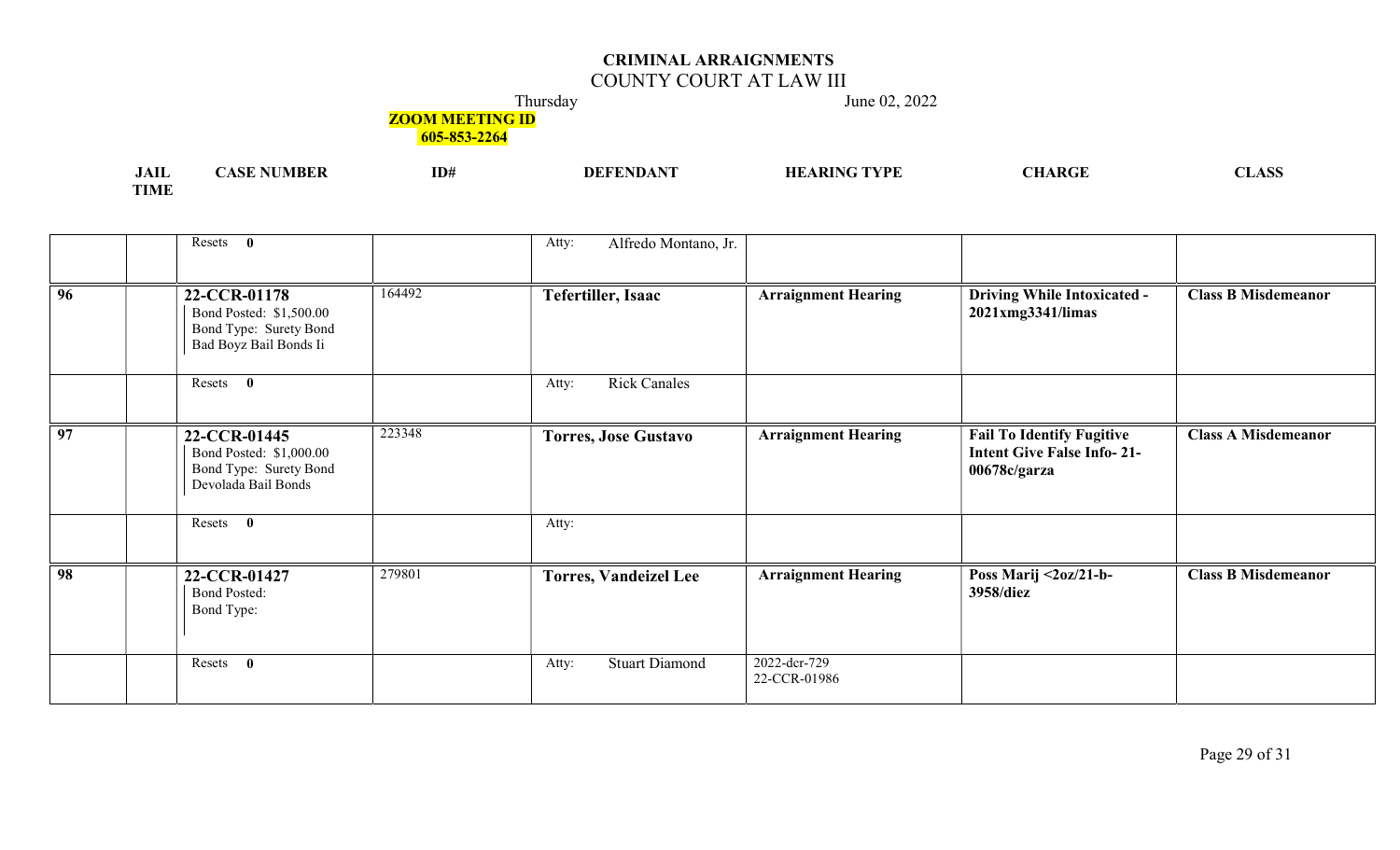# COUNTY COURT AT LAW III

Thursday June 02, 2022

## **ZOOM MEETING ID**

| .<br>JAIL     | MBER | ID# | <b>TAID A AIT</b><br>. | ' TVDE | I DÆE<br>лиаг | $\sim$ $\sim$ $\sim$<br>$\sim$<br><b>LITION</b> |
|---------------|------|-----|------------------------|--------|---------------|-------------------------------------------------|
| $-1$<br>. IME |      |     |                        |        |               |                                                 |

|                 | Resets 0                                                                                              | Alfredo Montano, Jr.<br>Atty:  |                              |                                                                                       |                            |
|-----------------|-------------------------------------------------------------------------------------------------------|--------------------------------|------------------------------|---------------------------------------------------------------------------------------|----------------------------|
|                 |                                                                                                       |                                |                              |                                                                                       |                            |
| 96              | 164492<br>22-CCR-01178<br>Bond Posted: \$1,500.00<br>Bond Type: Surety Bond<br>Bad Boyz Bail Bonds Ii | <b>Tefertiller, Isaac</b>      | <b>Arraignment Hearing</b>   | <b>Driving While Intoxicated -</b><br>2021xmg3341/limas                               | <b>Class B Misdemeanor</b> |
|                 | Resets 0                                                                                              | <b>Rick Canales</b><br>Atty:   |                              |                                                                                       |                            |
| $\overline{97}$ | 223348<br>22-CCR-01445<br>Bond Posted: \$1,000.00<br>Bond Type: Surety Bond<br>Devolada Bail Bonds    | <b>Torres, Jose Gustavo</b>    | <b>Arraignment Hearing</b>   | <b>Fail To Identify Fugitive</b><br><b>Intent Give False Info-21-</b><br>00678c/garza | <b>Class A Misdemeanor</b> |
|                 | Resets 0                                                                                              | Atty:                          |                              |                                                                                       |                            |
| 98              | 279801<br>22-CCR-01427<br><b>Bond Posted:</b><br>Bond Type:                                           | <b>Torres, Vandeizel Lee</b>   | <b>Arraignment Hearing</b>   | Poss Marij $\langle 2oz/21-b-$<br>3958/diez                                           | <b>Class B Misdemeanor</b> |
|                 | Resets<br>$\mathbf{0}$                                                                                | <b>Stuart Diamond</b><br>Atty: | 2022-dcr-729<br>22-CCR-01986 |                                                                                       |                            |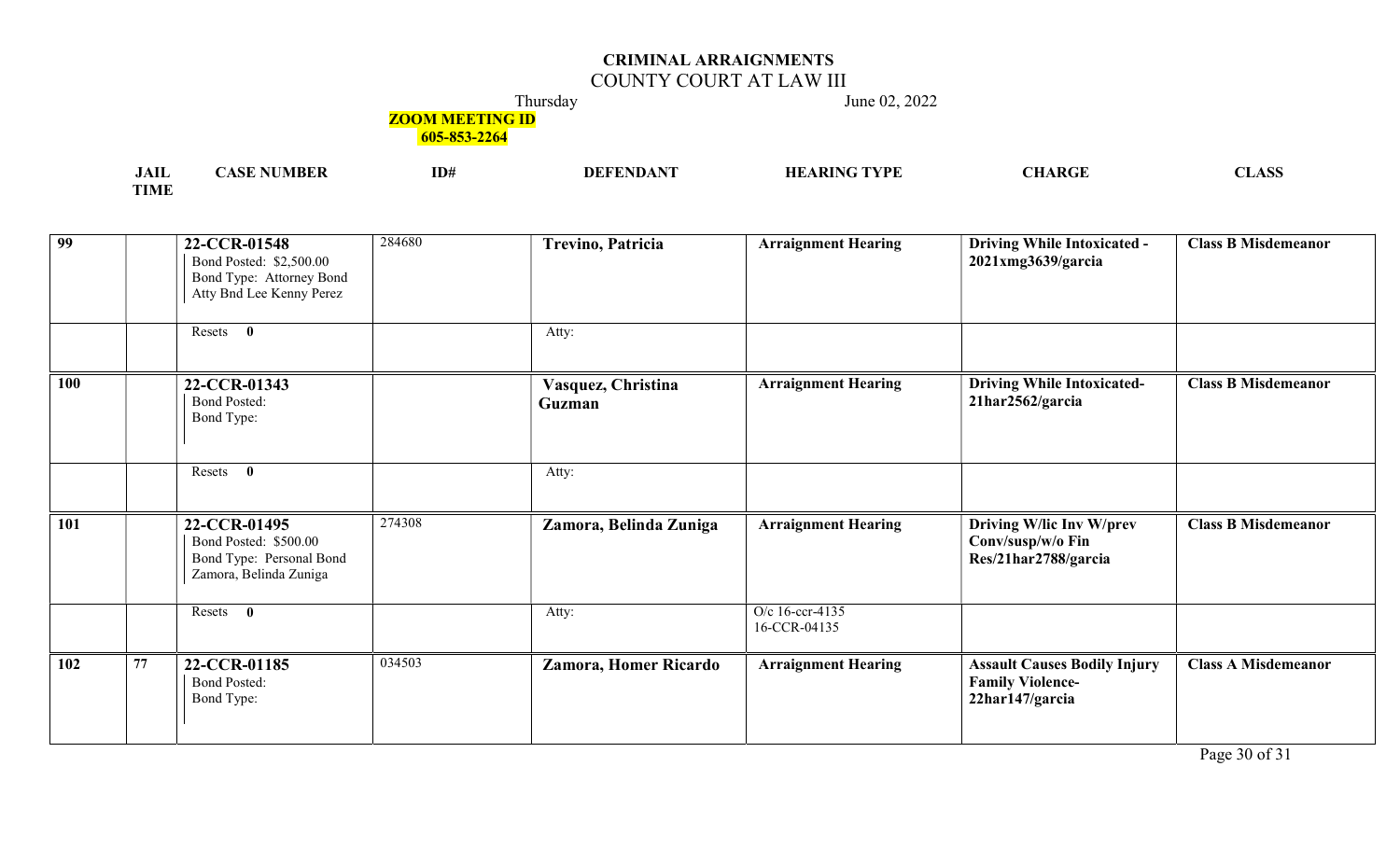## COUNTY COURT AT LAW III

Thursday June 02, 2022

## **ZOOM MEETING ID**

605-853-2264

| $1 - 2$<br>лы         | VI IS F | ID# | 7PF. | I DA I<br>\N\TI | $\sqrt{2}$ |
|-----------------------|---------|-----|------|-----------------|------------|
| <b>TOTA CT</b><br>TMF |         |     |      |                 |            |

| 99              |    | 22-CCR-01548<br>Bond Posted: \$2,500.00<br>Bond Type: Attorney Bond<br>Atty Bnd Lee Kenny Perez | 284680 | <b>Trevino, Patricia</b>     | <b>Arraignment Hearing</b>      | <b>Driving While Intoxicated -</b><br>$2021$ xmg $3639$ /garcia                   | <b>Class B Misdemeanor</b> |
|-----------------|----|-------------------------------------------------------------------------------------------------|--------|------------------------------|---------------------------------|-----------------------------------------------------------------------------------|----------------------------|
|                 |    | Resets<br>$\bf{0}$                                                                              |        | Atty:                        |                                 |                                                                                   |                            |
| 100             |    | 22-CCR-01343<br><b>Bond Posted:</b><br>Bond Type:                                               |        | Vasquez, Christina<br>Guzman | <b>Arraignment Hearing</b>      | <b>Driving While Intoxicated-</b><br>21har2562/garcia                             | <b>Class B Misdemeanor</b> |
|                 |    | $\mathbf{0}$<br>Resets                                                                          |        | Atty:                        |                                 |                                                                                   |                            |
| 101             |    | 22-CCR-01495<br>Bond Posted: \$500.00<br>Bond Type: Personal Bond<br>Zamora, Belinda Zuniga     | 274308 | Zamora, Belinda Zuniga       | <b>Arraignment Hearing</b>      | Driving W/lic Inv W/prev<br>Conv/susp/w/o Fin<br>Res/21har2788/garcia             | <b>Class B Misdemeanor</b> |
|                 |    | Resets 0                                                                                        |        | Atty:                        | O/c 16-ccr-4135<br>16-CCR-04135 |                                                                                   |                            |
| $\frac{102}{ }$ | 77 | 22-CCR-01185<br><b>Bond Posted:</b><br>Bond Type:                                               | 034503 | <b>Zamora, Homer Ricardo</b> | <b>Arraignment Hearing</b>      | <b>Assault Causes Bodily Injury</b><br><b>Family Violence-</b><br>22har147/garcia | <b>Class A Misdemeanor</b> |

Page 30 of 31